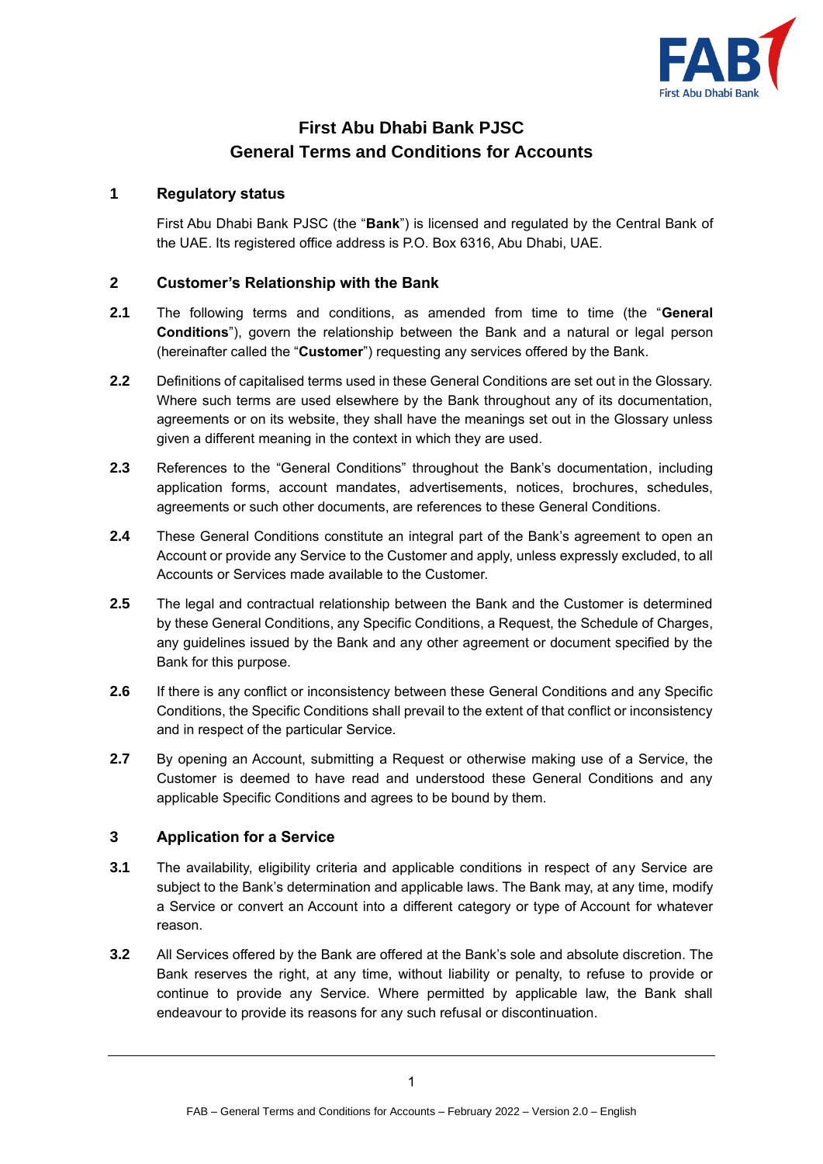

# **First Abu Dhabi Bank PJSC General Terms and Conditions for Accounts**

#### **1 Regulatory status**

First Abu Dhabi Bank PJSC (the "**Bank**") is licensed and regulated by the Central Bank of the UAE. Its registered office address is P.O. Box 6316, Abu Dhabi, UAE.

#### **2 Customer's Relationship with the Bank**

- **2.1** The following terms and conditions, as amended from time to time (the "**General Conditions**"), govern the relationship between the Bank and a natural or legal person (hereinafter called the "**Customer**") requesting any services offered by the Bank.
- **2.2** Definitions of capitalised terms used in these General Conditions are set out in the Glossary. Where such terms are used elsewhere by the Bank throughout any of its documentation, agreements or on its website, they shall have the meanings set out in the Glossary unless given a different meaning in the context in which they are used.
- **2.3** References to the "General Conditions" throughout the Bank's documentation, including application forms, account mandates, advertisements, notices, brochures, schedules, agreements or such other documents, are references to these General Conditions.
- **2.4** These General Conditions constitute an integral part of the Bank's agreement to open an Account or provide any Service to the Customer and apply, unless expressly excluded, to all Accounts or Services made available to the Customer.
- **2.5** The legal and contractual relationship between the Bank and the Customer is determined by these General Conditions, any Specific Conditions, a Request, the Schedule of Charges, any guidelines issued by the Bank and any other agreement or document specified by the Bank for this purpose.
- **2.6** If there is any conflict or inconsistency between these General Conditions and any Specific Conditions, the Specific Conditions shall prevail to the extent of that conflict or inconsistency and in respect of the particular Service.
- **2.7** By opening an Account, submitting a Request or otherwise making use of a Service, the Customer is deemed to have read and understood these General Conditions and any applicable Specific Conditions and agrees to be bound by them.

# **3 Application for a Service**

- **3.1** The availability, eligibility criteria and applicable conditions in respect of any Service are subject to the Bank's determination and applicable laws. The Bank may, at any time, modify a Service or convert an Account into a different category or type of Account for whatever reason.
- **3.2** All Services offered by the Bank are offered at the Bank's sole and absolute discretion. The Bank reserves the right, at any time, without liability or penalty, to refuse to provide or continue to provide any Service. Where permitted by applicable law, the Bank shall endeavour to provide its reasons for any such refusal or discontinuation.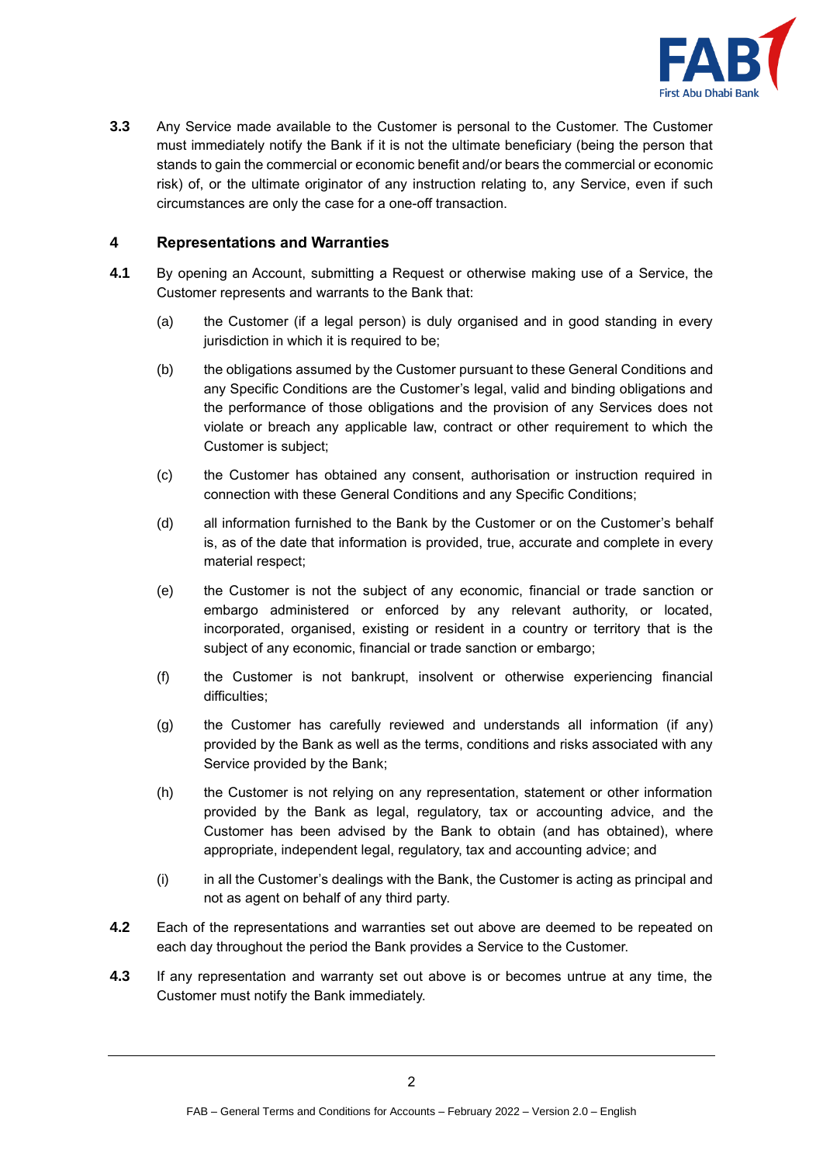

**3.3** Any Service made available to the Customer is personal to the Customer. The Customer must immediately notify the Bank if it is not the ultimate beneficiary (being the person that stands to gain the commercial or economic benefit and/or bears the commercial or economic risk) of, or the ultimate originator of any instruction relating to, any Service, even if such circumstances are only the case for a one-off transaction.

### **4 Representations and Warranties**

- **4.1** By opening an Account, submitting a Request or otherwise making use of a Service, the Customer represents and warrants to the Bank that:
	- (a) the Customer (if a legal person) is duly organised and in good standing in every jurisdiction in which it is required to be;
	- (b) the obligations assumed by the Customer pursuant to these General Conditions and any Specific Conditions are the Customer's legal, valid and binding obligations and the performance of those obligations and the provision of any Services does not violate or breach any applicable law, contract or other requirement to which the Customer is subject;
	- (c) the Customer has obtained any consent, authorisation or instruction required in connection with these General Conditions and any Specific Conditions;
	- (d) all information furnished to the Bank by the Customer or on the Customer's behalf is, as of the date that information is provided, true, accurate and complete in every material respect;
	- (e) the Customer is not the subject of any economic, financial or trade sanction or embargo administered or enforced by any relevant authority, or located, incorporated, organised, existing or resident in a country or territory that is the subject of any economic, financial or trade sanction or embargo;
	- (f) the Customer is not bankrupt, insolvent or otherwise experiencing financial difficulties;
	- (g) the Customer has carefully reviewed and understands all information (if any) provided by the Bank as well as the terms, conditions and risks associated with any Service provided by the Bank;
	- (h) the Customer is not relying on any representation, statement or other information provided by the Bank as legal, regulatory, tax or accounting advice, and the Customer has been advised by the Bank to obtain (and has obtained), where appropriate, independent legal, regulatory, tax and accounting advice; and
	- (i) in all the Customer's dealings with the Bank, the Customer is acting as principal and not as agent on behalf of any third party.
- **4.2** Each of the representations and warranties set out above are deemed to be repeated on each day throughout the period the Bank provides a Service to the Customer.
- **4.3** If any representation and warranty set out above is or becomes untrue at any time, the Customer must notify the Bank immediately.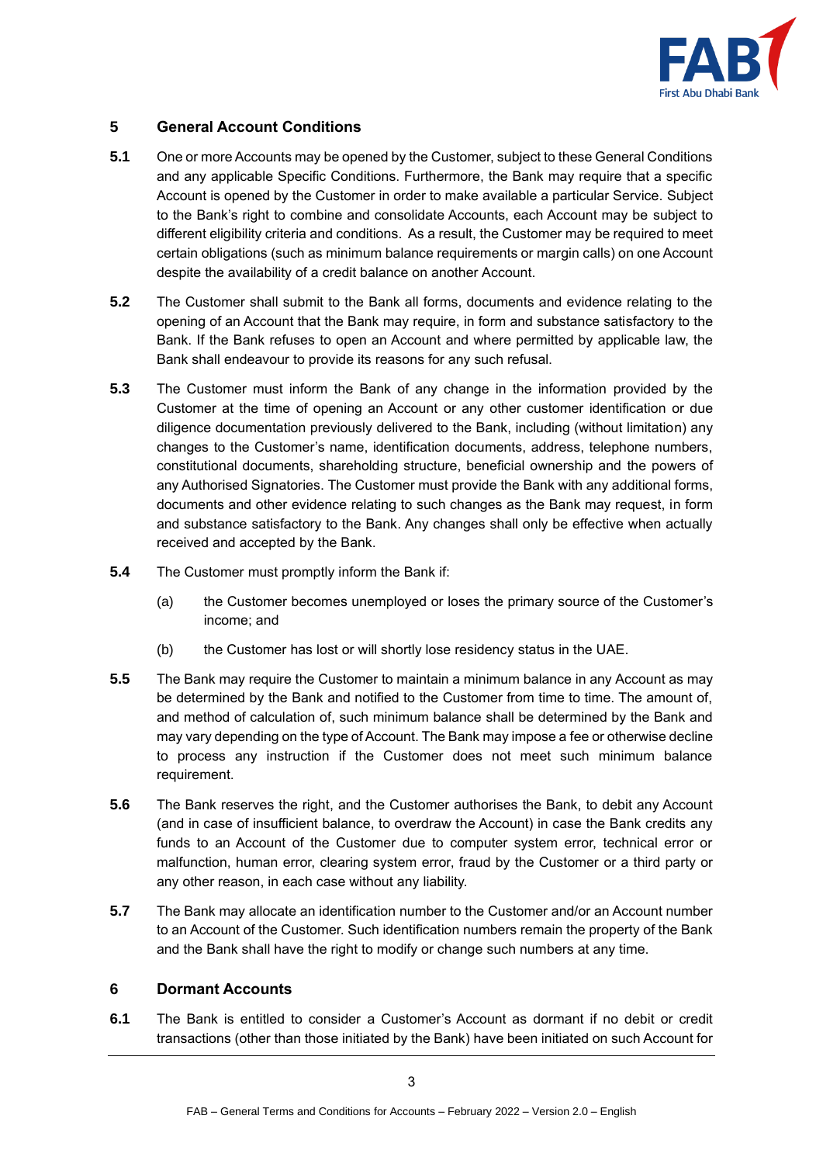

# **5 General Account Conditions**

- **5.1** One or more Accounts may be opened by the Customer, subject to these General Conditions and any applicable Specific Conditions. Furthermore, the Bank may require that a specific Account is opened by the Customer in order to make available a particular Service. Subject to the Bank's right to combine and consolidate Accounts, each Account may be subject to different eligibility criteria and conditions. As a result, the Customer may be required to meet certain obligations (such as minimum balance requirements or margin calls) on one Account despite the availability of a credit balance on another Account.
- **5.2** The Customer shall submit to the Bank all forms, documents and evidence relating to the opening of an Account that the Bank may require, in form and substance satisfactory to the Bank. If the Bank refuses to open an Account and where permitted by applicable law, the Bank shall endeavour to provide its reasons for any such refusal.
- **5.3** The Customer must inform the Bank of any change in the information provided by the Customer at the time of opening an Account or any other customer identification or due diligence documentation previously delivered to the Bank, including (without limitation) any changes to the Customer's name, identification documents, address, telephone numbers, constitutional documents, shareholding structure, beneficial ownership and the powers of any Authorised Signatories. The Customer must provide the Bank with any additional forms, documents and other evidence relating to such changes as the Bank may request, in form and substance satisfactory to the Bank. Any changes shall only be effective when actually received and accepted by the Bank.
- **5.4** The Customer must promptly inform the Bank if:
	- (a) the Customer becomes unemployed or loses the primary source of the Customer's income; and
	- (b) the Customer has lost or will shortly lose residency status in the UAE.
- **5.5** The Bank may require the Customer to maintain a minimum balance in any Account as may be determined by the Bank and notified to the Customer from time to time. The amount of, and method of calculation of, such minimum balance shall be determined by the Bank and may vary depending on the type of Account. The Bank may impose a fee or otherwise decline to process any instruction if the Customer does not meet such minimum balance requirement.
- **5.6** The Bank reserves the right, and the Customer authorises the Bank, to debit any Account (and in case of insufficient balance, to overdraw the Account) in case the Bank credits any funds to an Account of the Customer due to computer system error, technical error or malfunction, human error, clearing system error, fraud by the Customer or a third party or any other reason, in each case without any liability.
- **5.7** The Bank may allocate an identification number to the Customer and/or an Account number to an Account of the Customer. Such identification numbers remain the property of the Bank and the Bank shall have the right to modify or change such numbers at any time.

# **6 Dormant Accounts**

**6.1** The Bank is entitled to consider a Customer's Account as dormant if no debit or credit transactions (other than those initiated by the Bank) have been initiated on such Account for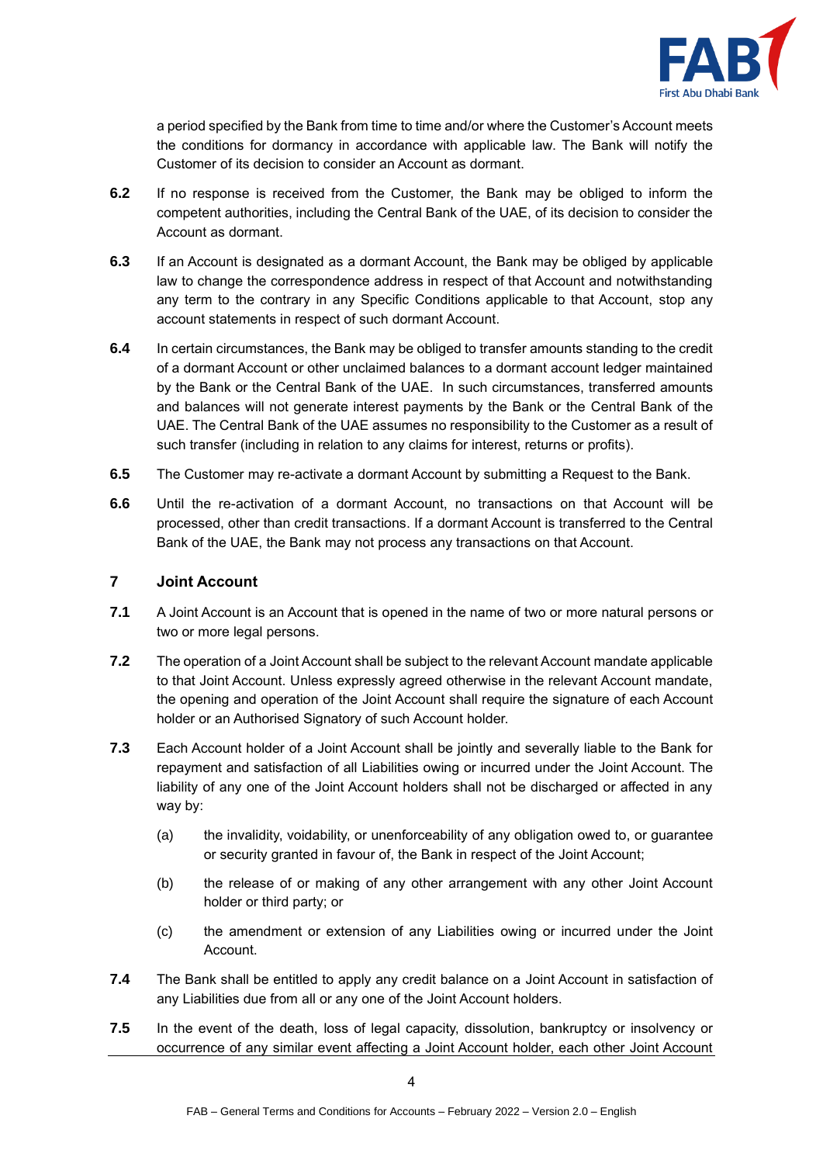

a period specified by the Bank from time to time and/or where the Customer's Account meets the conditions for dormancy in accordance with applicable law. The Bank will notify the Customer of its decision to consider an Account as dormant.

- **6.2** If no response is received from the Customer, the Bank may be obliged to inform the competent authorities, including the Central Bank of the UAE, of its decision to consider the Account as dormant.
- **6.3** If an Account is designated as a dormant Account, the Bank may be obliged by applicable law to change the correspondence address in respect of that Account and notwithstanding any term to the contrary in any Specific Conditions applicable to that Account, stop any account statements in respect of such dormant Account.
- **6.4** In certain circumstances, the Bank may be obliged to transfer amounts standing to the credit of a dormant Account or other unclaimed balances to a dormant account ledger maintained by the Bank or the Central Bank of the UAE. In such circumstances, transferred amounts and balances will not generate interest payments by the Bank or the Central Bank of the UAE. The Central Bank of the UAE assumes no responsibility to the Customer as a result of such transfer (including in relation to any claims for interest, returns or profits).
- **6.5** The Customer may re-activate a dormant Account by submitting a Request to the Bank.
- **6.6** Until the re-activation of a dormant Account, no transactions on that Account will be processed, other than credit transactions. If a dormant Account is transferred to the Central Bank of the UAE, the Bank may not process any transactions on that Account.

#### <span id="page-3-0"></span>**7 Joint Account**

- **7.1** A Joint Account is an Account that is opened in the name of two or more natural persons or two or more legal persons.
- **7.2** The operation of a Joint Account shall be subject to the relevant Account mandate applicable to that Joint Account. Unless expressly agreed otherwise in the relevant Account mandate, the opening and operation of the Joint Account shall require the signature of each Account holder or an Authorised Signatory of such Account holder.
- **7.3** Each Account holder of a Joint Account shall be jointly and severally liable to the Bank for repayment and satisfaction of all Liabilities owing or incurred under the Joint Account. The liability of any one of the Joint Account holders shall not be discharged or affected in any way by:
	- (a) the invalidity, voidability, or unenforceability of any obligation owed to, or guarantee or security granted in favour of, the Bank in respect of the Joint Account;
	- (b) the release of or making of any other arrangement with any other Joint Account holder or third party; or
	- (c) the amendment or extension of any Liabilities owing or incurred under the Joint Account.
- **7.4** The Bank shall be entitled to apply any credit balance on a Joint Account in satisfaction of any Liabilities due from all or any one of the Joint Account holders.
- **7.5** In the event of the death, loss of legal capacity, dissolution, bankruptcy or insolvency or occurrence of any similar event affecting a Joint Account holder, each other Joint Account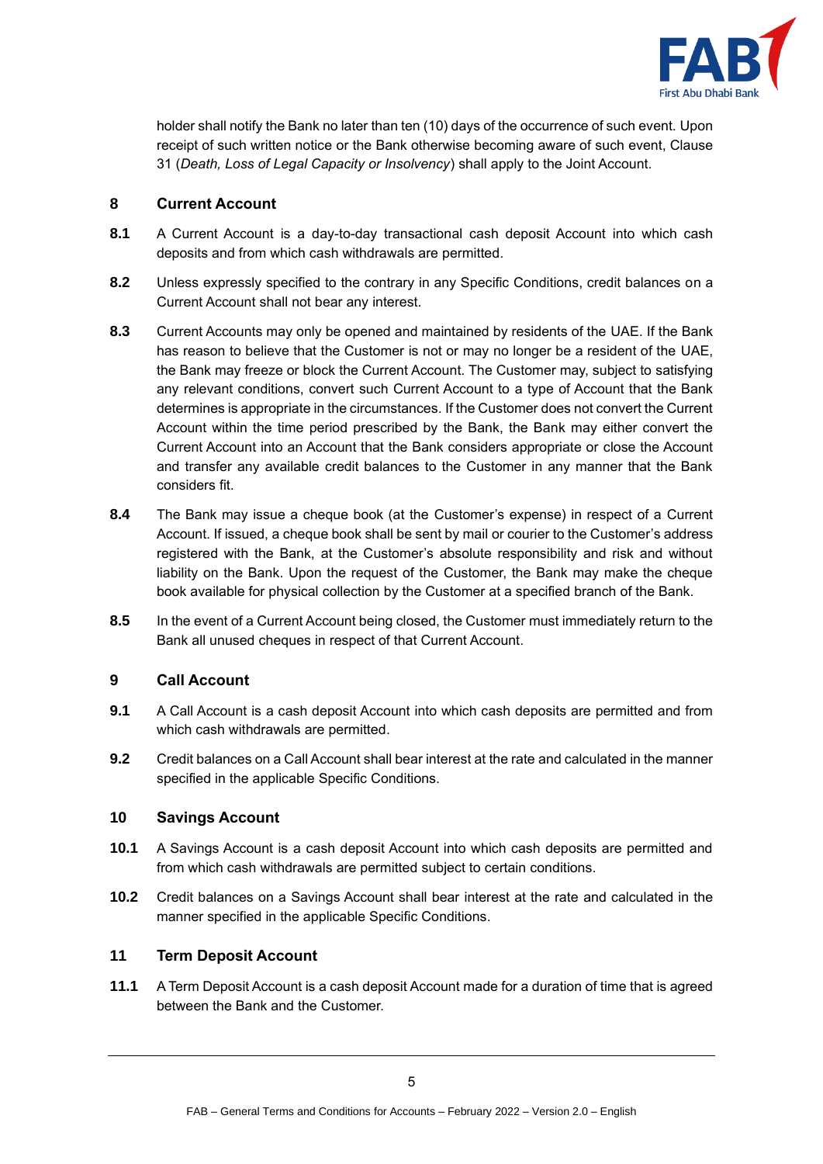

holder shall notify the Bank no later than ten (10) days of the occurrence of such event. Upon receipt of such written notice or the Bank otherwise becoming aware of such event, Clause [31](#page-19-0) (*Death, Loss of Legal Capacity or Insolvency*) shall apply to the Joint Account.

# <span id="page-4-1"></span>**8 Current Account**

- **8.1** A Current Account is a day-to-day transactional cash deposit Account into which cash deposits and from which cash withdrawals are permitted.
- **8.2** Unless expressly specified to the contrary in any Specific Conditions, credit balances on a Current Account shall not bear any interest.
- **8.3** Current Accounts may only be opened and maintained by residents of the UAE. If the Bank has reason to believe that the Customer is not or may no longer be a resident of the UAE, the Bank may freeze or block the Current Account. The Customer may, subject to satisfying any relevant conditions, convert such Current Account to a type of Account that the Bank determines is appropriate in the circumstances. If the Customer does not convert the Current Account within the time period prescribed by the Bank, the Bank may either convert the Current Account into an Account that the Bank considers appropriate or close the Account and transfer any available credit balances to the Customer in any manner that the Bank considers fit.
- **8.4** The Bank may issue a cheque book (at the Customer's expense) in respect of a Current Account. If issued, a cheque book shall be sent by mail or courier to the Customer's address registered with the Bank, at the Customer's absolute responsibility and risk and without liability on the Bank. Upon the request of the Customer, the Bank may make the cheque book available for physical collection by the Customer at a specified branch of the Bank.
- **8.5** In the event of a Current Account being closed, the Customer must immediately return to the Bank all unused cheques in respect of that Current Account.

# <span id="page-4-0"></span>**9 Call Account**

- **9.1** A Call Account is a cash deposit Account into which cash deposits are permitted and from which cash withdrawals are permitted.
- **9.2** Credit balances on a Call Account shall bear interest at the rate and calculated in the manner specified in the applicable Specific Conditions.

# <span id="page-4-2"></span>**10 Savings Account**

- **10.1** A Savings Account is a cash deposit Account into which cash deposits are permitted and from which cash withdrawals are permitted subject to certain conditions.
- **10.2** Credit balances on a Savings Account shall bear interest at the rate and calculated in the manner specified in the applicable Specific Conditions.

# <span id="page-4-3"></span>**11 Term Deposit Account**

**11.1** A Term Deposit Account is a cash deposit Account made for a duration of time that is agreed between the Bank and the Customer.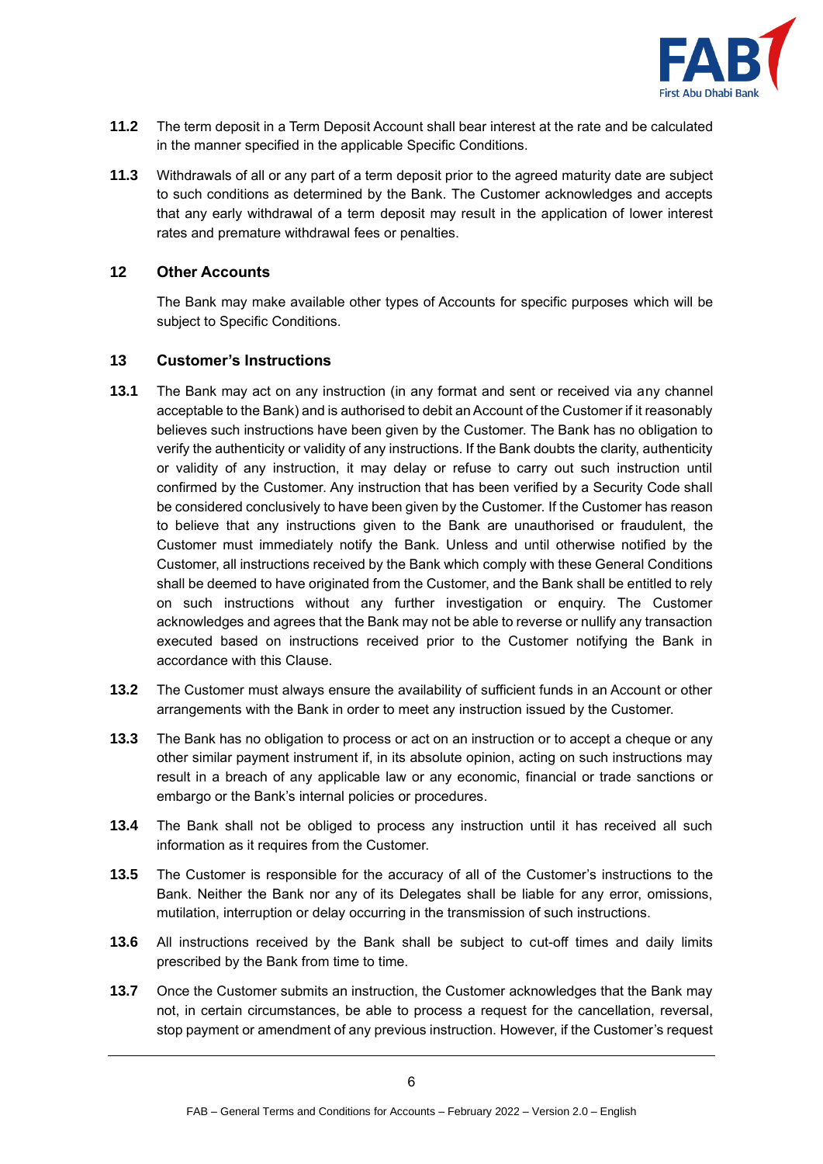

- **11.2** The term deposit in a Term Deposit Account shall bear interest at the rate and be calculated in the manner specified in the applicable Specific Conditions.
- **11.3** Withdrawals of all or any part of a term deposit prior to the agreed maturity date are subject to such conditions as determined by the Bank. The Customer acknowledges and accepts that any early withdrawal of a term deposit may result in the application of lower interest rates and premature withdrawal fees or penalties.

#### **12 Other Accounts**

The Bank may make available other types of Accounts for specific purposes which will be subject to Specific Conditions.

#### **13 Customer's Instructions**

- **13.1** The Bank may act on any instruction (in any format and sent or received via any channel acceptable to the Bank) and is authorised to debit an Account of the Customer if it reasonably believes such instructions have been given by the Customer. The Bank has no obligation to verify the authenticity or validity of any instructions. If the Bank doubts the clarity, authenticity or validity of any instruction, it may delay or refuse to carry out such instruction until confirmed by the Customer. Any instruction that has been verified by a Security Code shall be considered conclusively to have been given by the Customer. If the Customer has reason to believe that any instructions given to the Bank are unauthorised or fraudulent, the Customer must immediately notify the Bank. Unless and until otherwise notified by the Customer, all instructions received by the Bank which comply with these General Conditions shall be deemed to have originated from the Customer, and the Bank shall be entitled to rely on such instructions without any further investigation or enquiry. The Customer acknowledges and agrees that the Bank may not be able to reverse or nullify any transaction executed based on instructions received prior to the Customer notifying the Bank in accordance with this Clause.
- **13.2** The Customer must always ensure the availability of sufficient funds in an Account or other arrangements with the Bank in order to meet any instruction issued by the Customer.
- **13.3** The Bank has no obligation to process or act on an instruction or to accept a cheque or any other similar payment instrument if, in its absolute opinion, acting on such instructions may result in a breach of any applicable law or any economic, financial or trade sanctions or embargo or the Bank's internal policies or procedures.
- **13.4** The Bank shall not be obliged to process any instruction until it has received all such information as it requires from the Customer.
- **13.5** The Customer is responsible for the accuracy of all of the Customer's instructions to the Bank. Neither the Bank nor any of its Delegates shall be liable for any error, omissions, mutilation, interruption or delay occurring in the transmission of such instructions.
- **13.6** All instructions received by the Bank shall be subject to cut-off times and daily limits prescribed by the Bank from time to time.
- **13.7** Once the Customer submits an instruction, the Customer acknowledges that the Bank may not, in certain circumstances, be able to process a request for the cancellation, reversal, stop payment or amendment of any previous instruction. However, if the Customer's request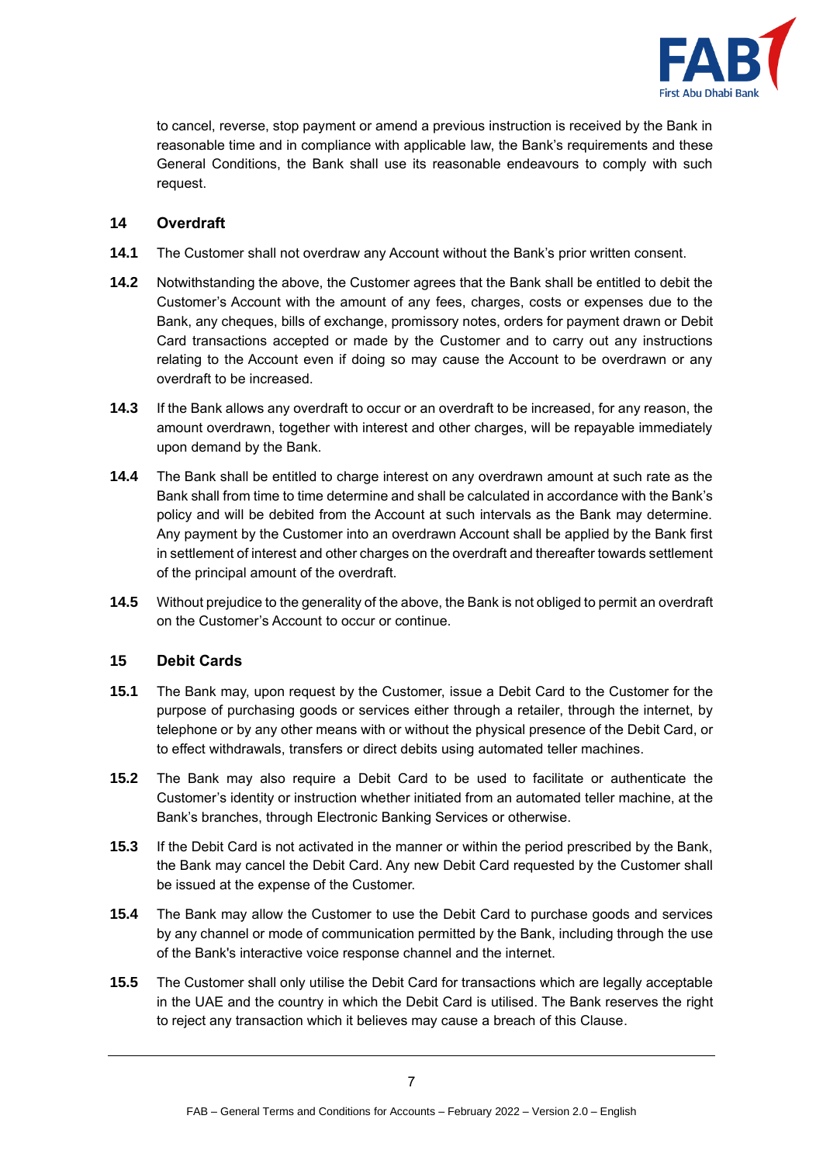

to cancel, reverse, stop payment or amend a previous instruction is received by the Bank in reasonable time and in compliance with applicable law, the Bank's requirements and these General Conditions, the Bank shall use its reasonable endeavours to comply with such request.

# **14 Overdraft**

- **14.1** The Customer shall not overdraw any Account without the Bank's prior written consent.
- **14.2** Notwithstanding the above, the Customer agrees that the Bank shall be entitled to debit the Customer's Account with the amount of any fees, charges, costs or expenses due to the Bank, any cheques, bills of exchange, promissory notes, orders for payment drawn or Debit Card transactions accepted or made by the Customer and to carry out any instructions relating to the Account even if doing so may cause the Account to be overdrawn or any overdraft to be increased.
- **14.3** If the Bank allows any overdraft to occur or an overdraft to be increased, for any reason, the amount overdrawn, together with interest and other charges, will be repayable immediately upon demand by the Bank.
- **14.4** The Bank shall be entitled to charge interest on any overdrawn amount at such rate as the Bank shall from time to time determine and shall be calculated in accordance with the Bank's policy and will be debited from the Account at such intervals as the Bank may determine. Any payment by the Customer into an overdrawn Account shall be applied by the Bank first in settlement of interest and other charges on the overdraft and thereafter towards settlement of the principal amount of the overdraft.
- **14.5** Without prejudice to the generality of the above, the Bank is not obliged to permit an overdraft on the Customer's Account to occur or continue.

# **15 Debit Cards**

- **15.1** The Bank may, upon request by the Customer, issue a Debit Card to the Customer for the purpose of purchasing goods or services either through a retailer, through the internet, by telephone or by any other means with or without the physical presence of the Debit Card, or to effect withdrawals, transfers or direct debits using automated teller machines.
- **15.2** The Bank may also require a Debit Card to be used to facilitate or authenticate the Customer's identity or instruction whether initiated from an automated teller machine, at the Bank's branches, through Electronic Banking Services or otherwise.
- **15.3** If the Debit Card is not activated in the manner or within the period prescribed by the Bank, the Bank may cancel the Debit Card. Any new Debit Card requested by the Customer shall be issued at the expense of the Customer.
- **15.4** The Bank may allow the Customer to use the Debit Card to purchase goods and services by any channel or mode of communication permitted by the Bank, including through the use of the Bank's interactive voice response channel and the internet.
- **15.5** The Customer shall only utilise the Debit Card for transactions which are legally acceptable in the UAE and the country in which the Debit Card is utilised. The Bank reserves the right to reject any transaction which it believes may cause a breach of this Clause.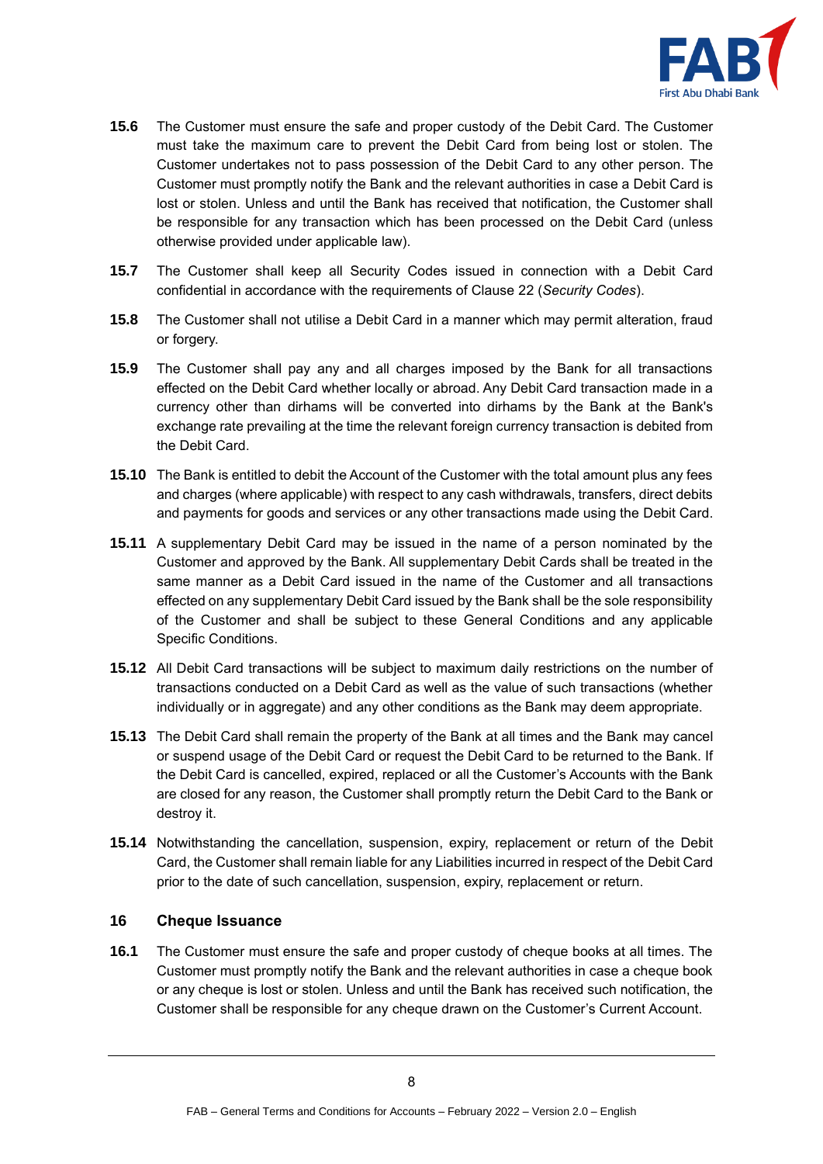

- **15.6** The Customer must ensure the safe and proper custody of the Debit Card. The Customer must take the maximum care to prevent the Debit Card from being lost or stolen. The Customer undertakes not to pass possession of the Debit Card to any other person. The Customer must promptly notify the Bank and the relevant authorities in case a Debit Card is lost or stolen. Unless and until the Bank has received that notification, the Customer shall be responsible for any transaction which has been processed on the Debit Card (unless otherwise provided under applicable law).
- **15.7** The Customer shall keep all Security Codes issued in connection with a Debit Card confidential in accordance with the requirements of Clause [22](#page-13-0) (*Security Codes*).
- **15.8** The Customer shall not utilise a Debit Card in a manner which may permit alteration, fraud or forgery.
- **15.9** The Customer shall pay any and all charges imposed by the Bank for all transactions effected on the Debit Card whether locally or abroad. Any Debit Card transaction made in a currency other than dirhams will be converted into dirhams by the Bank at the Bank's exchange rate prevailing at the time the relevant foreign currency transaction is debited from the Debit Card.
- **15.10** The Bank is entitled to debit the Account of the Customer with the total amount plus any fees and charges (where applicable) with respect to any cash withdrawals, transfers, direct debits and payments for goods and services or any other transactions made using the Debit Card.
- **15.11** A supplementary Debit Card may be issued in the name of a person nominated by the Customer and approved by the Bank. All supplementary Debit Cards shall be treated in the same manner as a Debit Card issued in the name of the Customer and all transactions effected on any supplementary Debit Card issued by the Bank shall be the sole responsibility of the Customer and shall be subject to these General Conditions and any applicable Specific Conditions.
- **15.12** All Debit Card transactions will be subject to maximum daily restrictions on the number of transactions conducted on a Debit Card as well as the value of such transactions (whether individually or in aggregate) and any other conditions as the Bank may deem appropriate.
- **15.13** The Debit Card shall remain the property of the Bank at all times and the Bank may cancel or suspend usage of the Debit Card or request the Debit Card to be returned to the Bank. If the Debit Card is cancelled, expired, replaced or all the Customer's Accounts with the Bank are closed for any reason, the Customer shall promptly return the Debit Card to the Bank or destroy it.
- **15.14** Notwithstanding the cancellation, suspension, expiry, replacement or return of the Debit Card, the Customer shall remain liable for any Liabilities incurred in respect of the Debit Card prior to the date of such cancellation, suspension, expiry, replacement or return.

#### **16 Cheque Issuance**

**16.1** The Customer must ensure the safe and proper custody of cheque books at all times. The Customer must promptly notify the Bank and the relevant authorities in case a cheque book or any cheque is lost or stolen. Unless and until the Bank has received such notification, the Customer shall be responsible for any cheque drawn on the Customer's Current Account.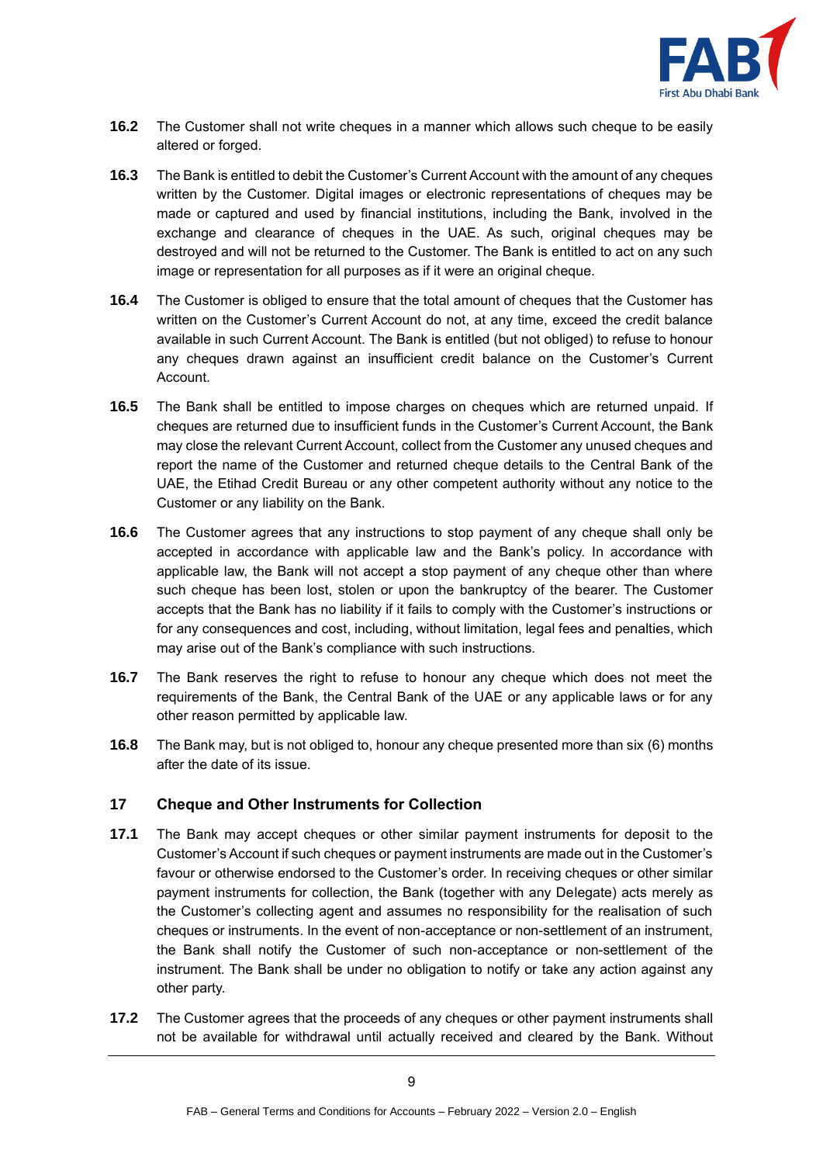

- **16.2** The Customer shall not write cheques in a manner which allows such cheque to be easily altered or forged.
- **16.3** The Bank is entitled to debit the Customer's Current Account with the amount of any cheques written by the Customer. Digital images or electronic representations of cheques may be made or captured and used by financial institutions, including the Bank, involved in the exchange and clearance of cheques in the UAE. As such, original cheques may be destroyed and will not be returned to the Customer. The Bank is entitled to act on any such image or representation for all purposes as if it were an original cheque.
- **16.4** The Customer is obliged to ensure that the total amount of cheques that the Customer has written on the Customer's Current Account do not, at any time, exceed the credit balance available in such Current Account. The Bank is entitled (but not obliged) to refuse to honour any cheques drawn against an insufficient credit balance on the Customer's Current Account.
- **16.5** The Bank shall be entitled to impose charges on cheques which are returned unpaid. If cheques are returned due to insufficient funds in the Customer's Current Account, the Bank may close the relevant Current Account, collect from the Customer any unused cheques and report the name of the Customer and returned cheque details to the Central Bank of the UAE, the Etihad Credit Bureau or any other competent authority without any notice to the Customer or any liability on the Bank.
- **16.6** The Customer agrees that any instructions to stop payment of any cheque shall only be accepted in accordance with applicable law and the Bank's policy. In accordance with applicable law, the Bank will not accept a stop payment of any cheque other than where such cheque has been lost, stolen or upon the bankruptcy of the bearer. The Customer accepts that the Bank has no liability if it fails to comply with the Customer's instructions or for any consequences and cost, including, without limitation, legal fees and penalties, which may arise out of the Bank's compliance with such instructions.
- **16.7** The Bank reserves the right to refuse to honour any cheque which does not meet the requirements of the Bank, the Central Bank of the UAE or any applicable laws or for any other reason permitted by applicable law.
- **16.8** The Bank may, but is not obliged to, honour any cheque presented more than six (6) months after the date of its issue.

# **17 Cheque and Other Instruments for Collection**

- **17.1** The Bank may accept cheques or other similar payment instruments for deposit to the Customer's Account if such cheques or payment instruments are made out in the Customer's favour or otherwise endorsed to the Customer's order. In receiving cheques or other similar payment instruments for collection, the Bank (together with any Delegate) acts merely as the Customer's collecting agent and assumes no responsibility for the realisation of such cheques or instruments. In the event of non-acceptance or non-settlement of an instrument, the Bank shall notify the Customer of such non-acceptance or non-settlement of the instrument. The Bank shall be under no obligation to notify or take any action against any other party.
- **17.2** The Customer agrees that the proceeds of any cheques or other payment instruments shall not be available for withdrawal until actually received and cleared by the Bank. Without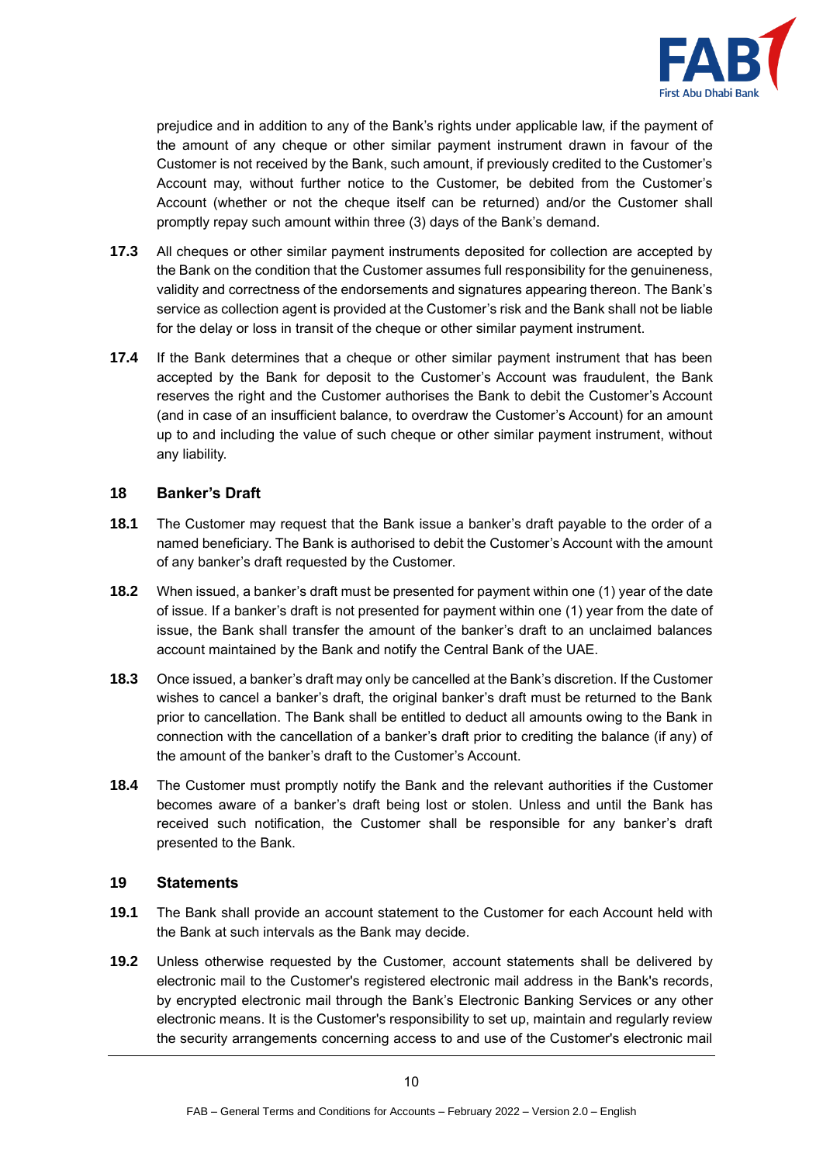

prejudice and in addition to any of the Bank's rights under applicable law, if the payment of the amount of any cheque or other similar payment instrument drawn in favour of the Customer is not received by the Bank, such amount, if previously credited to the Customer's Account may, without further notice to the Customer, be debited from the Customer's Account (whether or not the cheque itself can be returned) and/or the Customer shall promptly repay such amount within three (3) days of the Bank's demand.

- **17.3** All cheques or other similar payment instruments deposited for collection are accepted by the Bank on the condition that the Customer assumes full responsibility for the genuineness, validity and correctness of the endorsements and signatures appearing thereon. The Bank's service as collection agent is provided at the Customer's risk and the Bank shall not be liable for the delay or loss in transit of the cheque or other similar payment instrument.
- **17.4** If the Bank determines that a cheque or other similar payment instrument that has been accepted by the Bank for deposit to the Customer's Account was fraudulent, the Bank reserves the right and the Customer authorises the Bank to debit the Customer's Account (and in case of an insufficient balance, to overdraw the Customer's Account) for an amount up to and including the value of such cheque or other similar payment instrument, without any liability.

#### **18 Banker's Draft**

- **18.1** The Customer may request that the Bank issue a banker's draft payable to the order of a named beneficiary. The Bank is authorised to debit the Customer's Account with the amount of any banker's draft requested by the Customer.
- **18.2** When issued, a banker's draft must be presented for payment within one (1) year of the date of issue. If a banker's draft is not presented for payment within one (1) year from the date of issue, the Bank shall transfer the amount of the banker's draft to an unclaimed balances account maintained by the Bank and notify the Central Bank of the UAE.
- **18.3** Once issued, a banker's draft may only be cancelled at the Bank's discretion. If the Customer wishes to cancel a banker's draft, the original banker's draft must be returned to the Bank prior to cancellation. The Bank shall be entitled to deduct all amounts owing to the Bank in connection with the cancellation of a banker's draft prior to crediting the balance (if any) of the amount of the banker's draft to the Customer's Account.
- **18.4** The Customer must promptly notify the Bank and the relevant authorities if the Customer becomes aware of a banker's draft being lost or stolen. Unless and until the Bank has received such notification, the Customer shall be responsible for any banker's draft presented to the Bank.

#### **19 Statements**

- **19.1** The Bank shall provide an account statement to the Customer for each Account held with the Bank at such intervals as the Bank may decide.
- **19.2** Unless otherwise requested by the Customer, account statements shall be delivered by electronic mail to the Customer's registered electronic mail address in the Bank's records, by encrypted electronic mail through the Bank's Electronic Banking Services or any other electronic means. It is the Customer's responsibility to set up, maintain and regularly review the security arrangements concerning access to and use of the Customer's electronic mail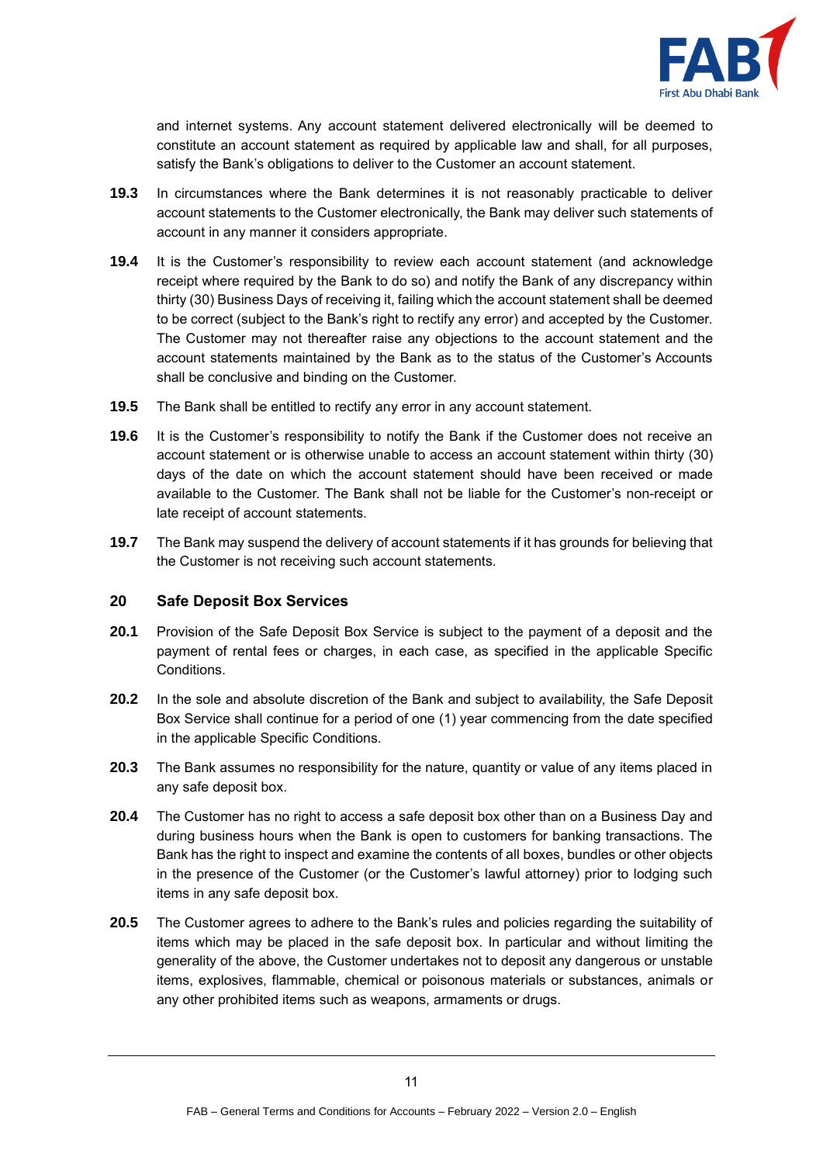

and internet systems. Any account statement delivered electronically will be deemed to constitute an account statement as required by applicable law and shall, for all purposes, satisfy the Bank's obligations to deliver to the Customer an account statement.

- **19.3** In circumstances where the Bank determines it is not reasonably practicable to deliver account statements to the Customer electronically, the Bank may deliver such statements of account in any manner it considers appropriate.
- **19.4** It is the Customer's responsibility to review each account statement (and acknowledge receipt where required by the Bank to do so) and notify the Bank of any discrepancy within thirty (30) Business Days of receiving it, failing which the account statement shall be deemed to be correct (subject to the Bank's right to rectify any error) and accepted by the Customer. The Customer may not thereafter raise any objections to the account statement and the account statements maintained by the Bank as to the status of the Customer's Accounts shall be conclusive and binding on the Customer.
- **19.5** The Bank shall be entitled to rectify any error in any account statement.
- **19.6** It is the Customer's responsibility to notify the Bank if the Customer does not receive an account statement or is otherwise unable to access an account statement within thirty (30) days of the date on which the account statement should have been received or made available to the Customer. The Bank shall not be liable for the Customer's non-receipt or late receipt of account statements.
- **19.7** The Bank may suspend the delivery of account statements if it has grounds for believing that the Customer is not receiving such account statements.

#### **20 Safe Deposit Box Services**

- **20.1** Provision of the Safe Deposit Box Service is subject to the payment of a deposit and the payment of rental fees or charges, in each case, as specified in the applicable Specific Conditions.
- **20.2** In the sole and absolute discretion of the Bank and subject to availability, the Safe Deposit Box Service shall continue for a period of one (1) year commencing from the date specified in the applicable Specific Conditions.
- **20.3** The Bank assumes no responsibility for the nature, quantity or value of any items placed in any safe deposit box.
- **20.4** The Customer has no right to access a safe deposit box other than on a Business Day and during business hours when the Bank is open to customers for banking transactions. The Bank has the right to inspect and examine the contents of all boxes, bundles or other objects in the presence of the Customer (or the Customer's lawful attorney) prior to lodging such items in any safe deposit box.
- **20.5** The Customer agrees to adhere to the Bank's rules and policies regarding the suitability of items which may be placed in the safe deposit box. In particular and without limiting the generality of the above, the Customer undertakes not to deposit any dangerous or unstable items, explosives, flammable, chemical or poisonous materials or substances, animals or any other prohibited items such as weapons, armaments or drugs.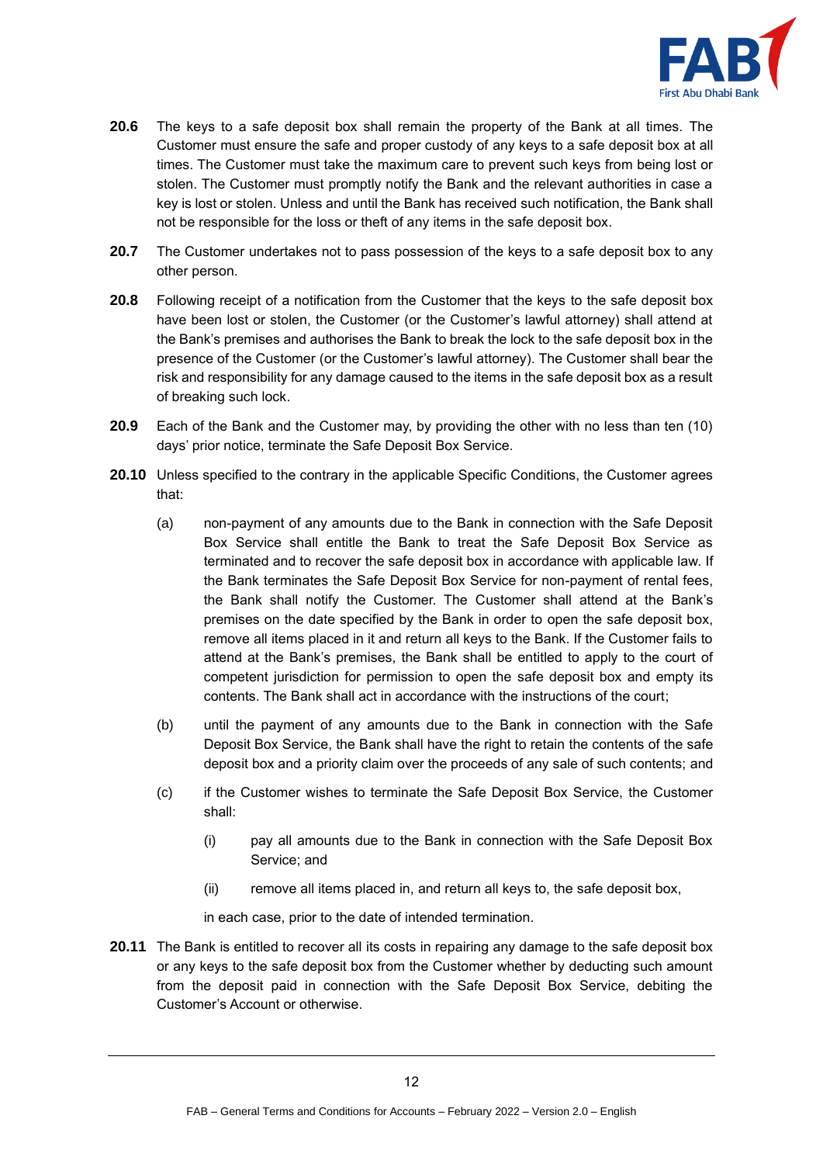

- **20.6** The keys to a safe deposit box shall remain the property of the Bank at all times. The Customer must ensure the safe and proper custody of any keys to a safe deposit box at all times. The Customer must take the maximum care to prevent such keys from being lost or stolen. The Customer must promptly notify the Bank and the relevant authorities in case a key is lost or stolen. Unless and until the Bank has received such notification, the Bank shall not be responsible for the loss or theft of any items in the safe deposit box.
- **20.7** The Customer undertakes not to pass possession of the keys to a safe deposit box to any other person.
- **20.8** Following receipt of a notification from the Customer that the keys to the safe deposit box have been lost or stolen, the Customer (or the Customer's lawful attorney) shall attend at the Bank's premises and authorises the Bank to break the lock to the safe deposit box in the presence of the Customer (or the Customer's lawful attorney). The Customer shall bear the risk and responsibility for any damage caused to the items in the safe deposit box as a result of breaking such lock.
- **20.9** Each of the Bank and the Customer may, by providing the other with no less than ten (10) days' prior notice, terminate the Safe Deposit Box Service.
- **20.10** Unless specified to the contrary in the applicable Specific Conditions, the Customer agrees that:
	- (a) non-payment of any amounts due to the Bank in connection with the Safe Deposit Box Service shall entitle the Bank to treat the Safe Deposit Box Service as terminated and to recover the safe deposit box in accordance with applicable law. If the Bank terminates the Safe Deposit Box Service for non-payment of rental fees, the Bank shall notify the Customer. The Customer shall attend at the Bank's premises on the date specified by the Bank in order to open the safe deposit box, remove all items placed in it and return all keys to the Bank. If the Customer fails to attend at the Bank's premises, the Bank shall be entitled to apply to the court of competent jurisdiction for permission to open the safe deposit box and empty its contents. The Bank shall act in accordance with the instructions of the court;
	- (b) until the payment of any amounts due to the Bank in connection with the Safe Deposit Box Service, the Bank shall have the right to retain the contents of the safe deposit box and a priority claim over the proceeds of any sale of such contents; and
	- (c) if the Customer wishes to terminate the Safe Deposit Box Service, the Customer shall:
		- (i) pay all amounts due to the Bank in connection with the Safe Deposit Box Service; and
		- (ii) remove all items placed in, and return all keys to, the safe deposit box,

in each case, prior to the date of intended termination.

**20.11** The Bank is entitled to recover all its costs in repairing any damage to the safe deposit box or any keys to the safe deposit box from the Customer whether by deducting such amount from the deposit paid in connection with the Safe Deposit Box Service, debiting the Customer's Account or otherwise.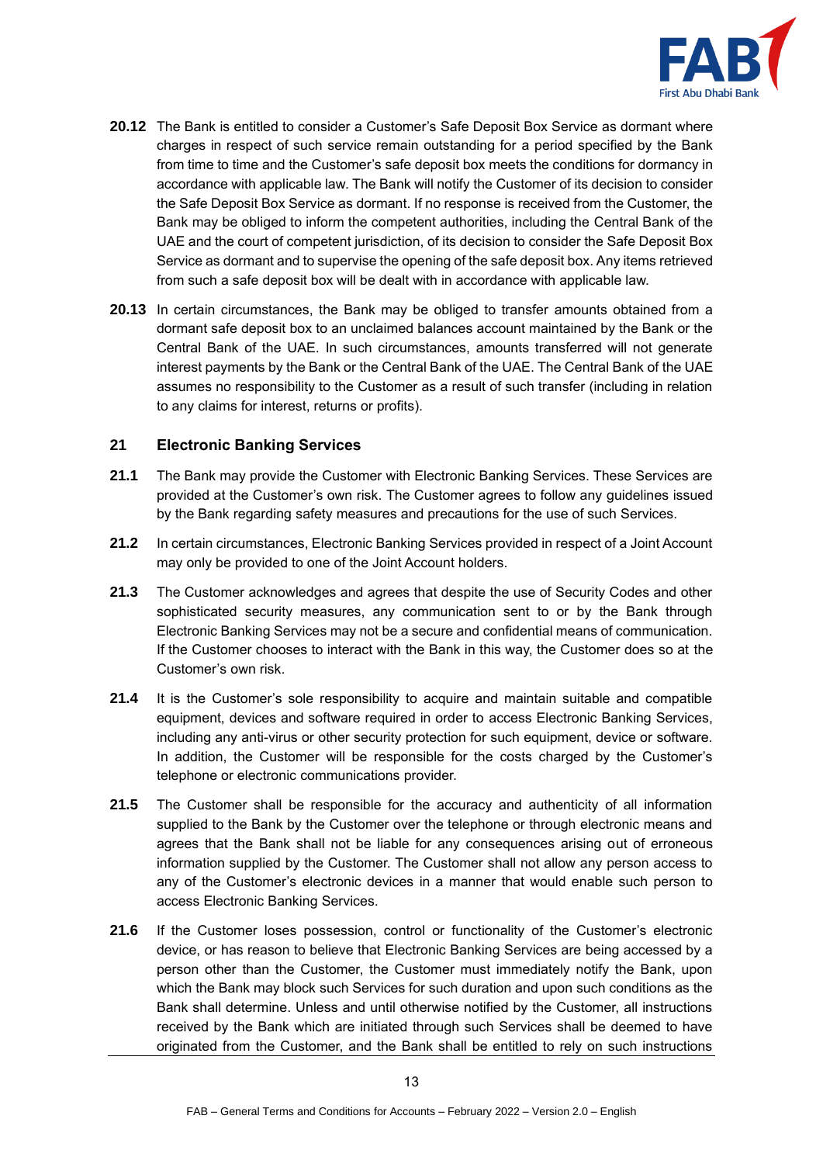

- **20.12** The Bank is entitled to consider a Customer's Safe Deposit Box Service as dormant where charges in respect of such service remain outstanding for a period specified by the Bank from time to time and the Customer's safe deposit box meets the conditions for dormancy in accordance with applicable law. The Bank will notify the Customer of its decision to consider the Safe Deposit Box Service as dormant. If no response is received from the Customer, the Bank may be obliged to inform the competent authorities, including the Central Bank of the UAE and the court of competent jurisdiction, of its decision to consider the Safe Deposit Box Service as dormant and to supervise the opening of the safe deposit box. Any items retrieved from such a safe deposit box will be dealt with in accordance with applicable law.
- **20.13** In certain circumstances, the Bank may be obliged to transfer amounts obtained from a dormant safe deposit box to an unclaimed balances account maintained by the Bank or the Central Bank of the UAE. In such circumstances, amounts transferred will not generate interest payments by the Bank or the Central Bank of the UAE. The Central Bank of the UAE assumes no responsibility to the Customer as a result of such transfer (including in relation to any claims for interest, returns or profits).

# **21 Electronic Banking Services**

- **21.1** The Bank may provide the Customer with Electronic Banking Services. These Services are provided at the Customer's own risk. The Customer agrees to follow any guidelines issued by the Bank regarding safety measures and precautions for the use of such Services.
- **21.2** In certain circumstances, Electronic Banking Services provided in respect of a Joint Account may only be provided to one of the Joint Account holders.
- **21.3** The Customer acknowledges and agrees that despite the use of Security Codes and other sophisticated security measures, any communication sent to or by the Bank through Electronic Banking Services may not be a secure and confidential means of communication. If the Customer chooses to interact with the Bank in this way, the Customer does so at the Customer's own risk.
- **21.4** It is the Customer's sole responsibility to acquire and maintain suitable and compatible equipment, devices and software required in order to access Electronic Banking Services, including any anti-virus or other security protection for such equipment, device or software. In addition, the Customer will be responsible for the costs charged by the Customer's telephone or electronic communications provider.
- **21.5** The Customer shall be responsible for the accuracy and authenticity of all information supplied to the Bank by the Customer over the telephone or through electronic means and agrees that the Bank shall not be liable for any consequences arising out of erroneous information supplied by the Customer. The Customer shall not allow any person access to any of the Customer's electronic devices in a manner that would enable such person to access Electronic Banking Services.
- **21.6** If the Customer loses possession, control or functionality of the Customer's electronic device, or has reason to believe that Electronic Banking Services are being accessed by a person other than the Customer, the Customer must immediately notify the Bank, upon which the Bank may block such Services for such duration and upon such conditions as the Bank shall determine. Unless and until otherwise notified by the Customer, all instructions received by the Bank which are initiated through such Services shall be deemed to have originated from the Customer, and the Bank shall be entitled to rely on such instructions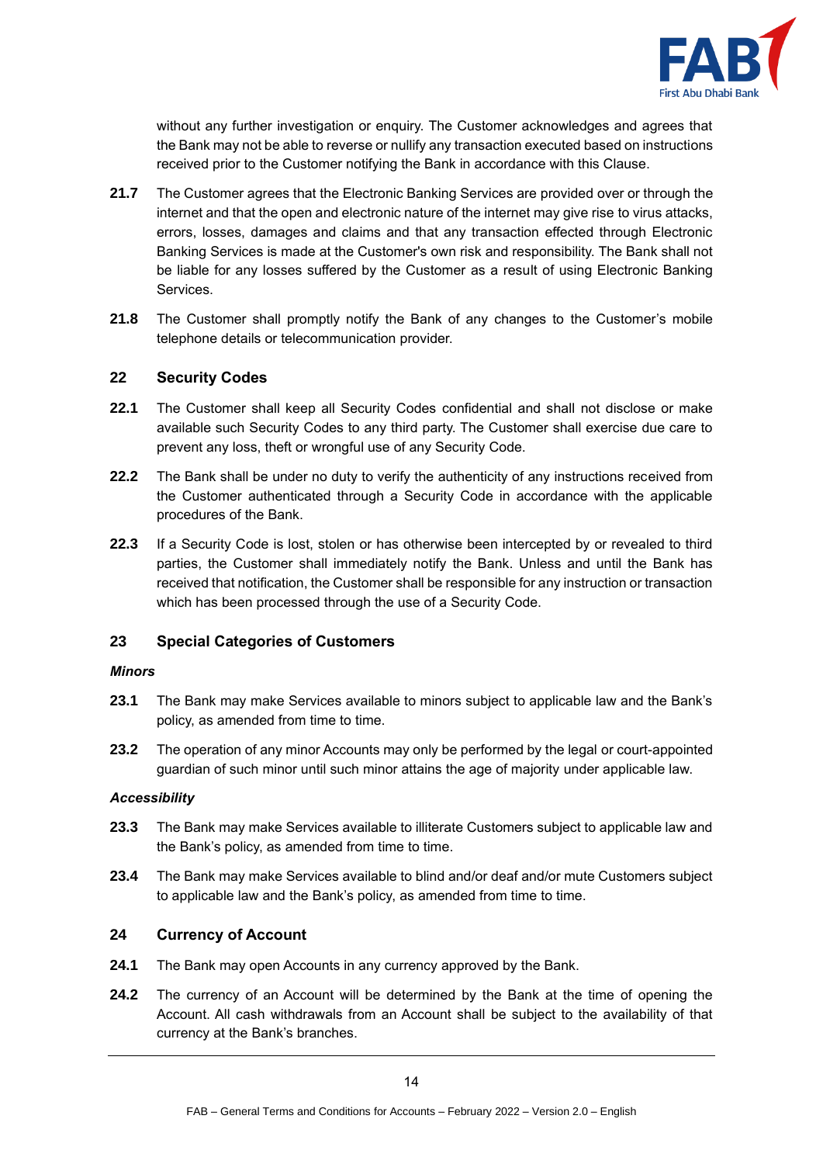

without any further investigation or enquiry. The Customer acknowledges and agrees that the Bank may not be able to reverse or nullify any transaction executed based on instructions received prior to the Customer notifying the Bank in accordance with this Clause.

- **21.7** The Customer agrees that the Electronic Banking Services are provided over or through the internet and that the open and electronic nature of the internet may give rise to virus attacks, errors, losses, damages and claims and that any transaction effected through Electronic Banking Services is made at the Customer's own risk and responsibility. The Bank shall not be liable for any losses suffered by the Customer as a result of using Electronic Banking Services.
- **21.8** The Customer shall promptly notify the Bank of any changes to the Customer's mobile telephone details or telecommunication provider.

#### <span id="page-13-0"></span>**22 Security Codes**

- **22.1** The Customer shall keep all Security Codes confidential and shall not disclose or make available such Security Codes to any third party. The Customer shall exercise due care to prevent any loss, theft or wrongful use of any Security Code.
- **22.2** The Bank shall be under no duty to verify the authenticity of any instructions received from the Customer authenticated through a Security Code in accordance with the applicable procedures of the Bank.
- **22.3** If a Security Code is lost, stolen or has otherwise been intercepted by or revealed to third parties, the Customer shall immediately notify the Bank. Unless and until the Bank has received that notification, the Customer shall be responsible for any instruction or transaction which has been processed through the use of a Security Code.

# **23 Special Categories of Customers**

#### *Minors*

- **23.1** The Bank may make Services available to minors subject to applicable law and the Bank's policy, as amended from time to time.
- **23.2** The operation of any minor Accounts may only be performed by the legal or court-appointed guardian of such minor until such minor attains the age of majority under applicable law.

#### *Accessibility*

- **23.3** The Bank may make Services available to illiterate Customers subject to applicable law and the Bank's policy, as amended from time to time.
- **23.4** The Bank may make Services available to blind and/or deaf and/or mute Customers subject to applicable law and the Bank's policy, as amended from time to time.

#### **24 Currency of Account**

- **24.1** The Bank may open Accounts in any currency approved by the Bank.
- **24.2** The currency of an Account will be determined by the Bank at the time of opening the Account. All cash withdrawals from an Account shall be subject to the availability of that currency at the Bank's branches.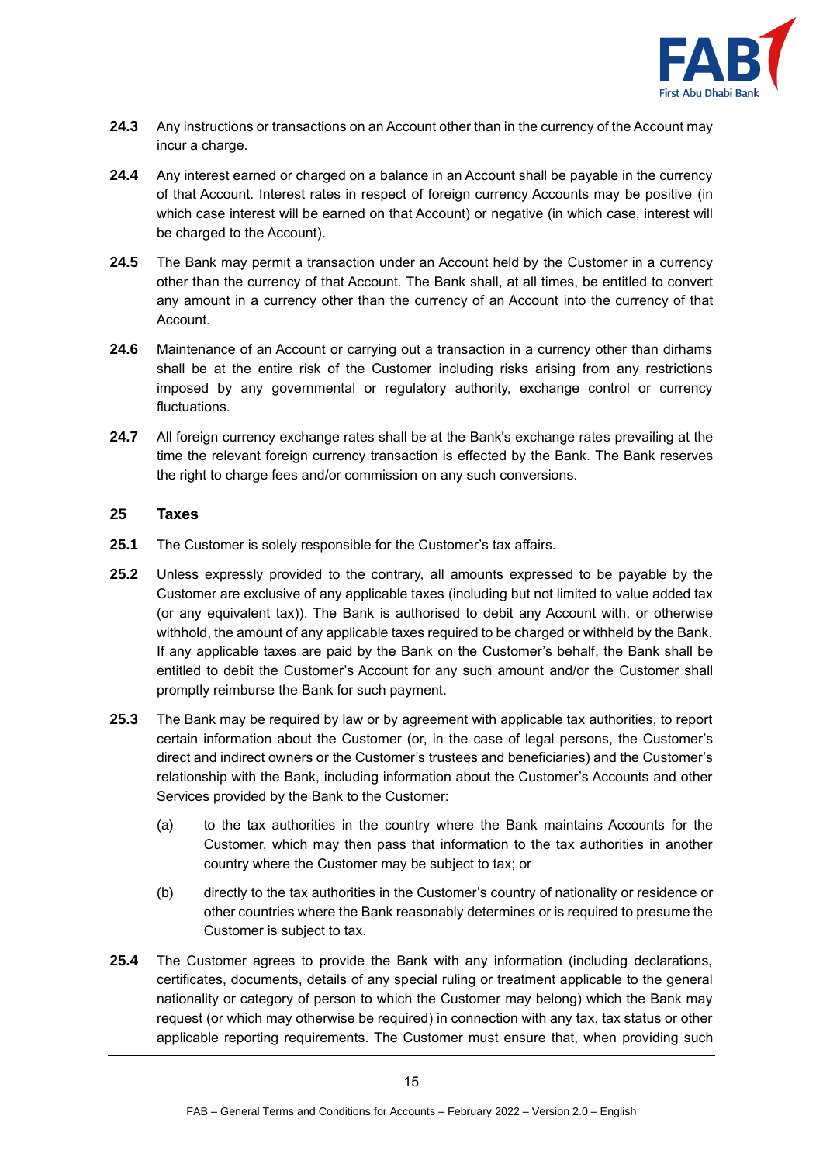

- **24.3** Any instructions or transactions on an Account other than in the currency of the Account may incur a charge.
- **24.4** Any interest earned or charged on a balance in an Account shall be payable in the currency of that Account. Interest rates in respect of foreign currency Accounts may be positive (in which case interest will be earned on that Account) or negative (in which case, interest will be charged to the Account).
- **24.5** The Bank may permit a transaction under an Account held by the Customer in a currency other than the currency of that Account. The Bank shall, at all times, be entitled to convert any amount in a currency other than the currency of an Account into the currency of that Account.
- **24.6** Maintenance of an Account or carrying out a transaction in a currency other than dirhams shall be at the entire risk of the Customer including risks arising from any restrictions imposed by any governmental or regulatory authority, exchange control or currency fluctuations.
- **24.7** All foreign currency exchange rates shall be at the Bank's exchange rates prevailing at the time the relevant foreign currency transaction is effected by the Bank. The Bank reserves the right to charge fees and/or commission on any such conversions.

#### **25 Taxes**

- **25.1** The Customer is solely responsible for the Customer's tax affairs.
- **25.2** Unless expressly provided to the contrary, all amounts expressed to be payable by the Customer are exclusive of any applicable taxes (including but not limited to value added tax (or any equivalent tax)). The Bank is authorised to debit any Account with, or otherwise withhold, the amount of any applicable taxes required to be charged or withheld by the Bank. If any applicable taxes are paid by the Bank on the Customer's behalf, the Bank shall be entitled to debit the Customer's Account for any such amount and/or the Customer shall promptly reimburse the Bank for such payment.
- **25.3** The Bank may be required by law or by agreement with applicable tax authorities, to report certain information about the Customer (or, in the case of legal persons, the Customer's direct and indirect owners or the Customer's trustees and beneficiaries) and the Customer's relationship with the Bank, including information about the Customer's Accounts and other Services provided by the Bank to the Customer:
	- (a) to the tax authorities in the country where the Bank maintains Accounts for the Customer, which may then pass that information to the tax authorities in another country where the Customer may be subject to tax; or
	- (b) directly to the tax authorities in the Customer's country of nationality or residence or other countries where the Bank reasonably determines or is required to presume the Customer is subject to tax.
- **25.4** The Customer agrees to provide the Bank with any information (including declarations, certificates, documents, details of any special ruling or treatment applicable to the general nationality or category of person to which the Customer may belong) which the Bank may request (or which may otherwise be required) in connection with any tax, tax status or other applicable reporting requirements. The Customer must ensure that, when providing such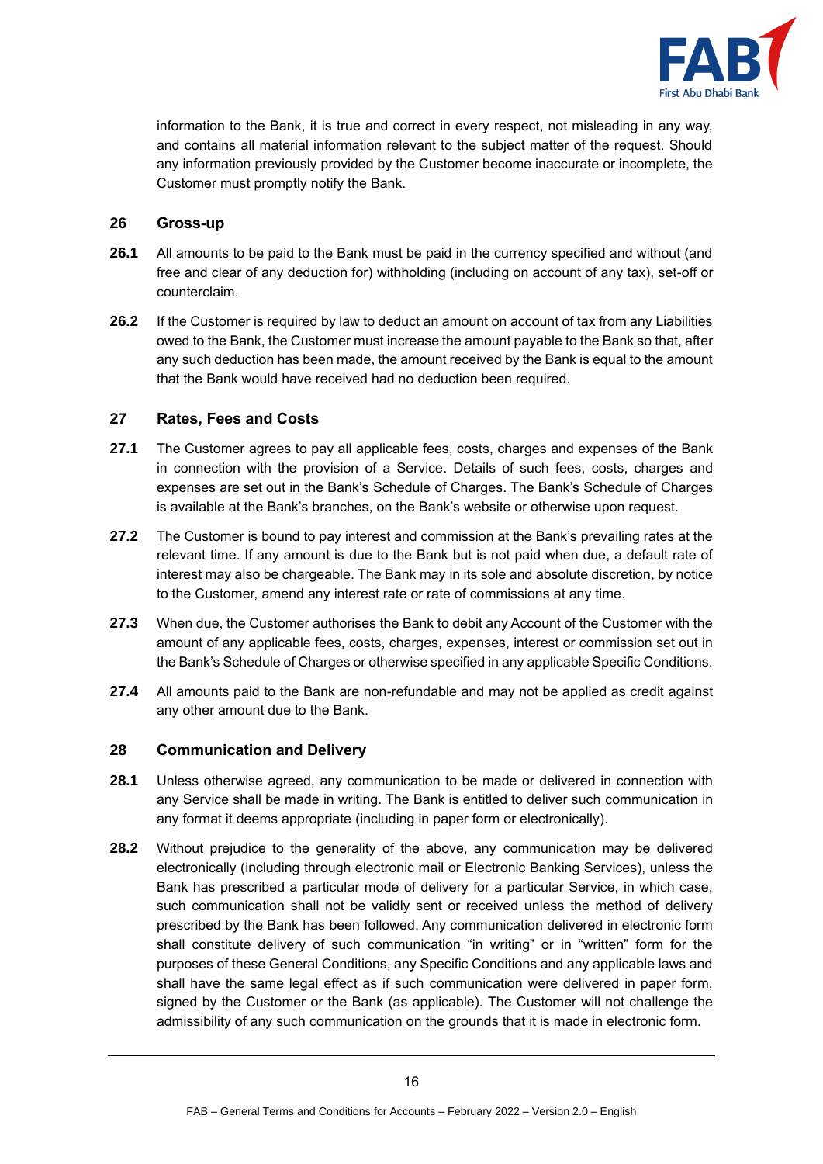

information to the Bank, it is true and correct in every respect, not misleading in any way, and contains all material information relevant to the subject matter of the request. Should any information previously provided by the Customer become inaccurate or incomplete, the Customer must promptly notify the Bank.

#### **26 Gross-up**

- **26.1** All amounts to be paid to the Bank must be paid in the currency specified and without (and free and clear of any deduction for) withholding (including on account of any tax), set-off or counterclaim.
- **26.2** If the Customer is required by law to deduct an amount on account of tax from any Liabilities owed to the Bank, the Customer must increase the amount payable to the Bank so that, after any such deduction has been made, the amount received by the Bank is equal to the amount that the Bank would have received had no deduction been required.

#### <span id="page-15-0"></span>**27 Rates, Fees and Costs**

- **27.1** The Customer agrees to pay all applicable fees, costs, charges and expenses of the Bank in connection with the provision of a Service. Details of such fees, costs, charges and expenses are set out in the Bank's Schedule of Charges. The Bank's Schedule of Charges is available at the Bank's branches, on the Bank's website or otherwise upon request.
- **27.2** The Customer is bound to pay interest and commission at the Bank's prevailing rates at the relevant time. If any amount is due to the Bank but is not paid when due, a default rate of interest may also be chargeable. The Bank may in its sole and absolute discretion, by notice to the Customer, amend any interest rate or rate of commissions at any time.
- **27.3** When due, the Customer authorises the Bank to debit any Account of the Customer with the amount of any applicable fees, costs, charges, expenses, interest or commission set out in the Bank's Schedule of Charges or otherwise specified in any applicable Specific Conditions.
- **27.4** All amounts paid to the Bank are non-refundable and may not be applied as credit against any other amount due to the Bank.

# **28 Communication and Delivery**

- **28.1** Unless otherwise agreed, any communication to be made or delivered in connection with any Service shall be made in writing. The Bank is entitled to deliver such communication in any format it deems appropriate (including in paper form or electronically).
- **28.2** Without prejudice to the generality of the above, any communication may be delivered electronically (including through electronic mail or Electronic Banking Services), unless the Bank has prescribed a particular mode of delivery for a particular Service, in which case, such communication shall not be validly sent or received unless the method of delivery prescribed by the Bank has been followed. Any communication delivered in electronic form shall constitute delivery of such communication "in writing" or in "written" form for the purposes of these General Conditions, any Specific Conditions and any applicable laws and shall have the same legal effect as if such communication were delivered in paper form, signed by the Customer or the Bank (as applicable). The Customer will not challenge the admissibility of any such communication on the grounds that it is made in electronic form.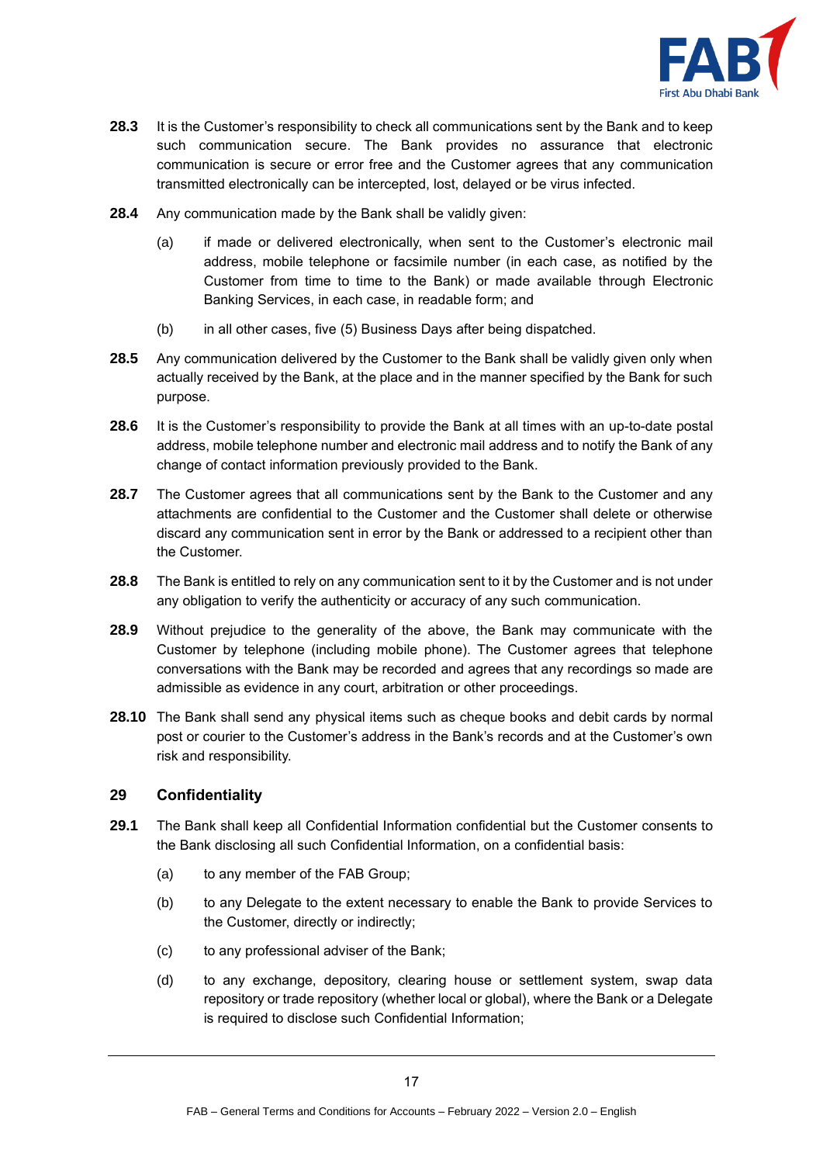

- **28.3** It is the Customer's responsibility to check all communications sent by the Bank and to keep such communication secure. The Bank provides no assurance that electronic communication is secure or error free and the Customer agrees that any communication transmitted electronically can be intercepted, lost, delayed or be virus infected.
- **28.4** Any communication made by the Bank shall be validly given:
	- (a) if made or delivered electronically, when sent to the Customer's electronic mail address, mobile telephone or facsimile number (in each case, as notified by the Customer from time to time to the Bank) or made available through Electronic Banking Services, in each case, in readable form; and
	- (b) in all other cases, five (5) Business Days after being dispatched.
- **28.5** Any communication delivered by the Customer to the Bank shall be validly given only when actually received by the Bank, at the place and in the manner specified by the Bank for such purpose.
- **28.6** It is the Customer's responsibility to provide the Bank at all times with an up-to-date postal address, mobile telephone number and electronic mail address and to notify the Bank of any change of contact information previously provided to the Bank.
- **28.7** The Customer agrees that all communications sent by the Bank to the Customer and any attachments are confidential to the Customer and the Customer shall delete or otherwise discard any communication sent in error by the Bank or addressed to a recipient other than the Customer.
- **28.8** The Bank is entitled to rely on any communication sent to it by the Customer and is not under any obligation to verify the authenticity or accuracy of any such communication.
- **28.9** Without prejudice to the generality of the above, the Bank may communicate with the Customer by telephone (including mobile phone). The Customer agrees that telephone conversations with the Bank may be recorded and agrees that any recordings so made are admissible as evidence in any court, arbitration or other proceedings.
- **28.10** The Bank shall send any physical items such as cheque books and debit cards by normal post or courier to the Customer's address in the Bank's records and at the Customer's own risk and responsibility.

# **29 Confidentiality**

- **29.1** The Bank shall keep all Confidential Information confidential but the Customer consents to the Bank disclosing all such Confidential Information, on a confidential basis:
	- (a) to any member of the FAB Group;
	- (b) to any Delegate to the extent necessary to enable the Bank to provide Services to the Customer, directly or indirectly;
	- (c) to any professional adviser of the Bank;
	- (d) to any exchange, depository, clearing house or settlement system, swap data repository or trade repository (whether local or global), where the Bank or a Delegate is required to disclose such Confidential Information;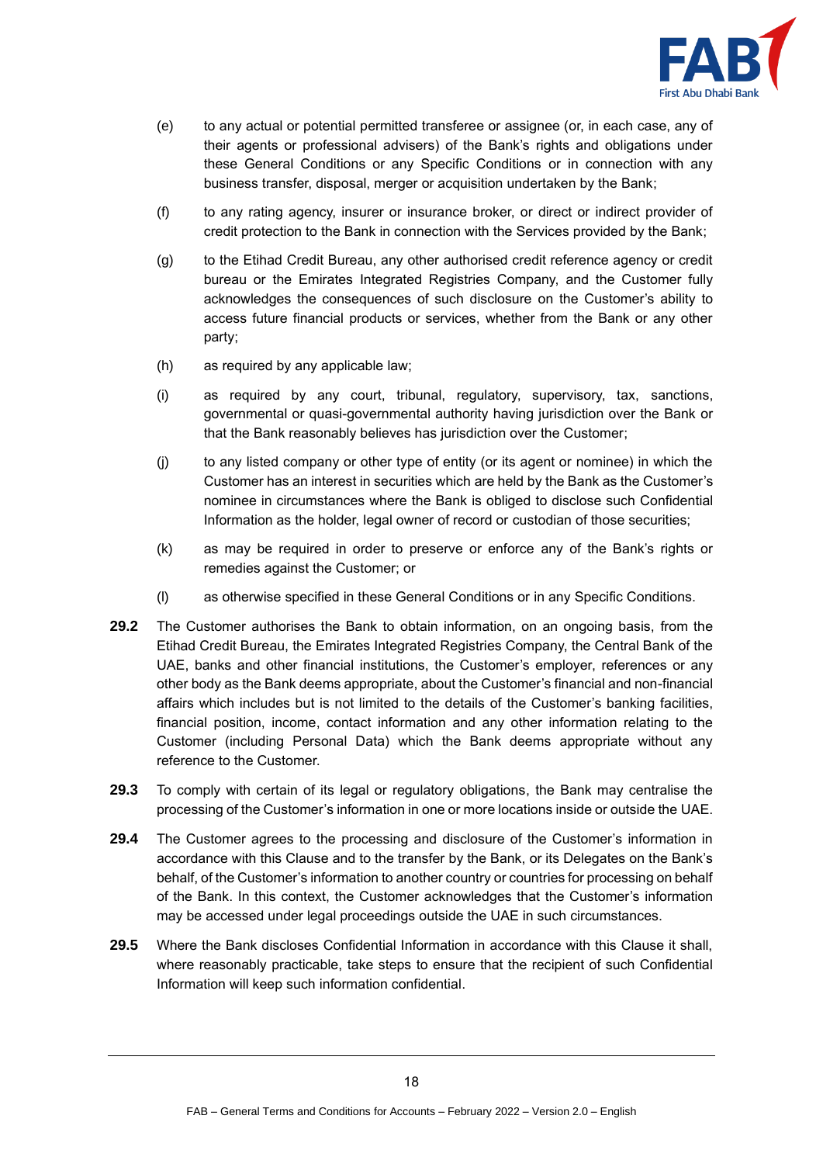

- (e) to any actual or potential permitted transferee or assignee (or, in each case, any of their agents or professional advisers) of the Bank's rights and obligations under these General Conditions or any Specific Conditions or in connection with any business transfer, disposal, merger or acquisition undertaken by the Bank;
- (f) to any rating agency, insurer or insurance broker, or direct or indirect provider of credit protection to the Bank in connection with the Services provided by the Bank;
- (g) to the Etihad Credit Bureau, any other authorised credit reference agency or credit bureau or the Emirates Integrated Registries Company, and the Customer fully acknowledges the consequences of such disclosure on the Customer's ability to access future financial products or services, whether from the Bank or any other party;
- (h) as required by any applicable law;
- (i) as required by any court, tribunal, regulatory, supervisory, tax, sanctions, governmental or quasi-governmental authority having jurisdiction over the Bank or that the Bank reasonably believes has jurisdiction over the Customer;
- (j) to any listed company or other type of entity (or its agent or nominee) in which the Customer has an interest in securities which are held by the Bank as the Customer's nominee in circumstances where the Bank is obliged to disclose such Confidential Information as the holder, legal owner of record or custodian of those securities;
- (k) as may be required in order to preserve or enforce any of the Bank's rights or remedies against the Customer; or
- (l) as otherwise specified in these General Conditions or in any Specific Conditions.
- **29.2** The Customer authorises the Bank to obtain information, on an ongoing basis, from the Etihad Credit Bureau, the Emirates Integrated Registries Company, the Central Bank of the UAE, banks and other financial institutions, the Customer's employer, references or any other body as the Bank deems appropriate, about the Customer's financial and non-financial affairs which includes but is not limited to the details of the Customer's banking facilities, financial position, income, contact information and any other information relating to the Customer (including Personal Data) which the Bank deems appropriate without any reference to the Customer.
- **29.3** To comply with certain of its legal or regulatory obligations, the Bank may centralise the processing of the Customer's information in one or more locations inside or outside the UAE.
- **29.4** The Customer agrees to the processing and disclosure of the Customer's information in accordance with this Clause and to the transfer by the Bank, or its Delegates on the Bank's behalf, of the Customer's information to another country or countries for processing on behalf of the Bank. In this context, the Customer acknowledges that the Customer's information may be accessed under legal proceedings outside the UAE in such circumstances.
- **29.5** Where the Bank discloses Confidential Information in accordance with this Clause it shall, where reasonably practicable, take steps to ensure that the recipient of such Confidential Information will keep such information confidential.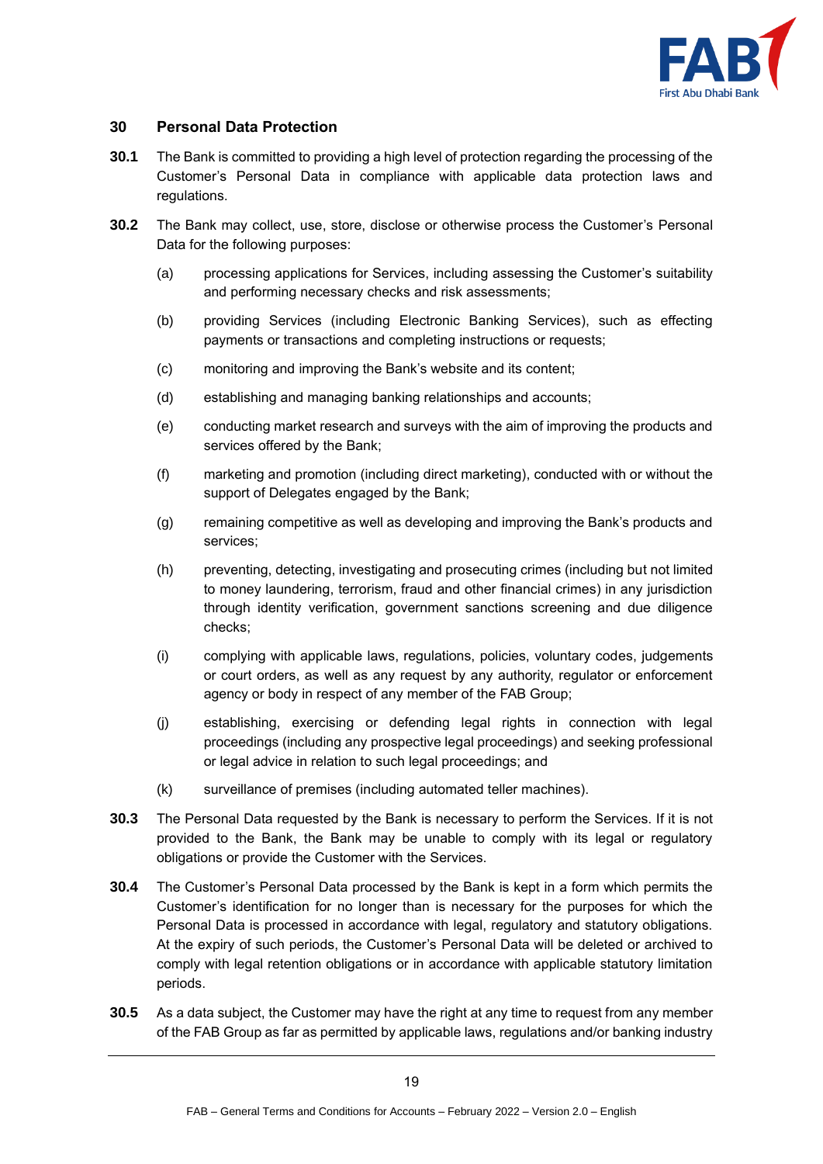

# **30 Personal Data Protection**

- **30.1** The Bank is committed to providing a high level of protection regarding the processing of the Customer's Personal Data in compliance with applicable data protection laws and regulations.
- **30.2** The Bank may collect, use, store, disclose or otherwise process the Customer's Personal Data for the following purposes:
	- (a) processing applications for Services, including assessing the Customer's suitability and performing necessary checks and risk assessments;
	- (b) providing Services (including Electronic Banking Services), such as effecting payments or transactions and completing instructions or requests;
	- (c) monitoring and improving the Bank's website and its content;
	- (d) establishing and managing banking relationships and accounts;
	- (e) conducting market research and surveys with the aim of improving the products and services offered by the Bank;
	- (f) marketing and promotion (including direct marketing), conducted with or without the support of Delegates engaged by the Bank;
	- (g) remaining competitive as well as developing and improving the Bank's products and services;
	- (h) preventing, detecting, investigating and prosecuting crimes (including but not limited to money laundering, terrorism, fraud and other financial crimes) in any jurisdiction through identity verification, government sanctions screening and due diligence checks;
	- (i) complying with applicable laws, regulations, policies, voluntary codes, judgements or court orders, as well as any request by any authority, regulator or enforcement agency or body in respect of any member of the FAB Group;
	- (j) establishing, exercising or defending legal rights in connection with legal proceedings (including any prospective legal proceedings) and seeking professional or legal advice in relation to such legal proceedings; and
	- (k) surveillance of premises (including automated teller machines).
- **30.3** The Personal Data requested by the Bank is necessary to perform the Services. If it is not provided to the Bank, the Bank may be unable to comply with its legal or regulatory obligations or provide the Customer with the Services.
- **30.4** The Customer's Personal Data processed by the Bank is kept in a form which permits the Customer's identification for no longer than is necessary for the purposes for which the Personal Data is processed in accordance with legal, regulatory and statutory obligations. At the expiry of such periods, the Customer's Personal Data will be deleted or archived to comply with legal retention obligations or in accordance with applicable statutory limitation periods.
- **30.5** As a data subject, the Customer may have the right at any time to request from any member of the FAB Group as far as permitted by applicable laws, regulations and/or banking industry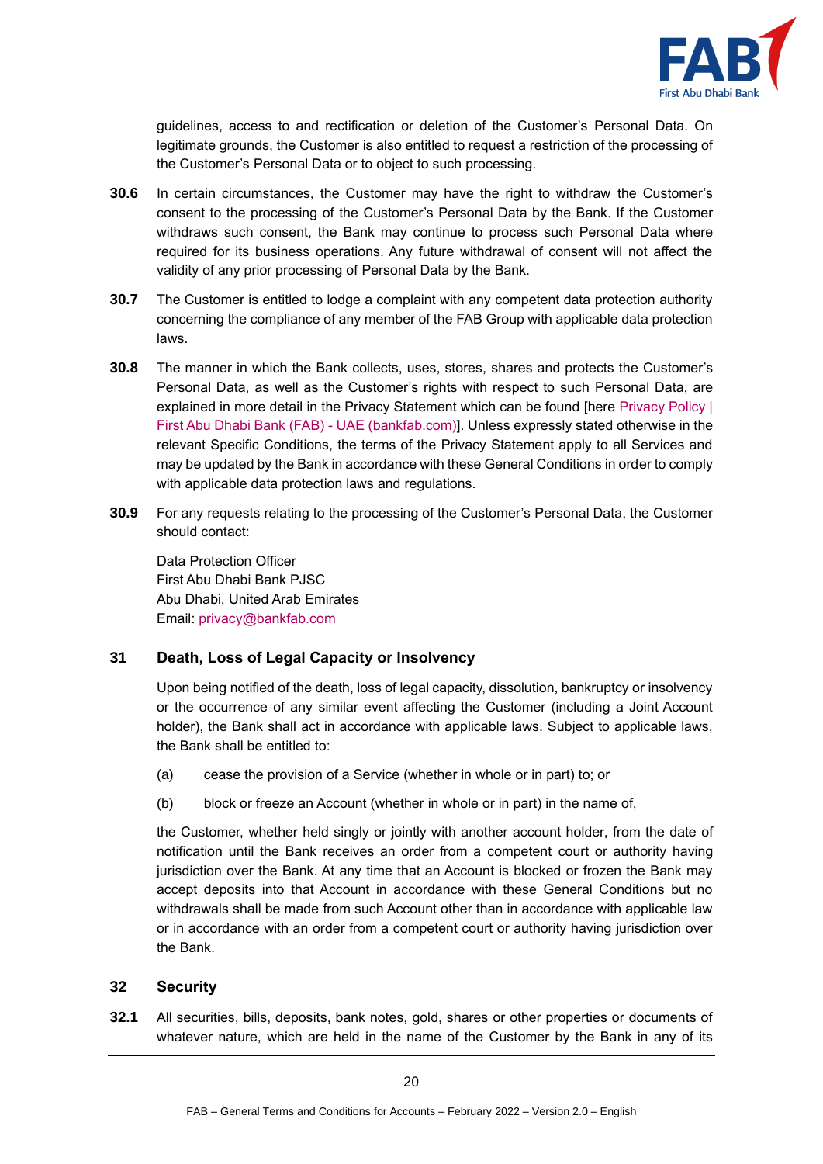

guidelines, access to and rectification or deletion of the Customer's Personal Data. On legitimate grounds, the Customer is also entitled to request a restriction of the processing of the Customer's Personal Data or to object to such processing.

- **30.6** In certain circumstances, the Customer may have the right to withdraw the Customer's consent to the processing of the Customer's Personal Data by the Bank. If the Customer withdraws such consent, the Bank may continue to process such Personal Data where required for its business operations. Any future withdrawal of consent will not affect the validity of any prior processing of Personal Data by the Bank.
- **30.7** The Customer is entitled to lodge a complaint with any competent data protection authority concerning the compliance of any member of the FAB Group with applicable data protection laws.
- **30.8** The manner in which the Bank collects, uses, stores, shares and protects the Customer's Personal Data, as well as the Customer's rights with respect to such Personal Data, are explained in more detail in the Privacy Statement which can be found [here [Privacy Policy |](https://www.bankfab.com/en-ae/privacy-policy)  [First Abu Dhabi Bank \(FAB\) -](https://www.bankfab.com/en-ae/privacy-policy) UAE (bankfab.com)]. Unless expressly stated otherwise in the relevant Specific Conditions, the terms of the Privacy Statement apply to all Services and may be updated by the Bank in accordance with these General Conditions in order to comply with applicable data protection laws and regulations.
- **30.9** For any requests relating to the processing of the Customer's Personal Data, the Customer should contact:

Data Protection Officer First Abu Dhabi Bank PJSC Abu Dhabi, United Arab Emirates Email: [privacy@bankfab.com](mailto:privacy@bankfab.com)

# <span id="page-19-0"></span>**31 Death, Loss of Legal Capacity or Insolvency**

Upon being notified of the death, loss of legal capacity, dissolution, bankruptcy or insolvency or the occurrence of any similar event affecting the Customer (including a Joint Account holder), the Bank shall act in accordance with applicable laws. Subject to applicable laws, the Bank shall be entitled to:

- (a) cease the provision of a Service (whether in whole or in part) to; or
- (b) block or freeze an Account (whether in whole or in part) in the name of,

the Customer, whether held singly or jointly with another account holder, from the date of notification until the Bank receives an order from a competent court or authority having jurisdiction over the Bank. At any time that an Account is blocked or frozen the Bank may accept deposits into that Account in accordance with these General Conditions but no withdrawals shall be made from such Account other than in accordance with applicable law or in accordance with an order from a competent court or authority having jurisdiction over the Bank.

#### **32 Security**

**32.1** All securities, bills, deposits, bank notes, gold, shares or other properties or documents of whatever nature, which are held in the name of the Customer by the Bank in any of its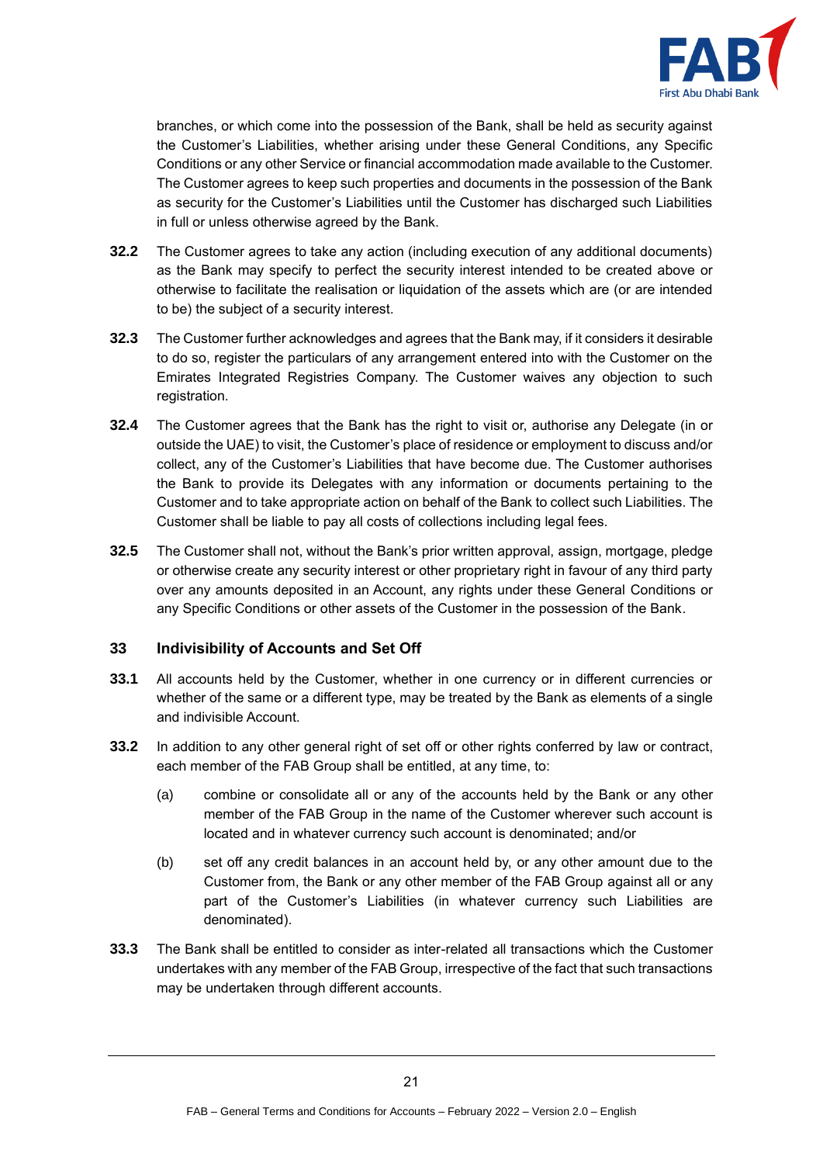

branches, or which come into the possession of the Bank, shall be held as security against the Customer's Liabilities, whether arising under these General Conditions, any Specific Conditions or any other Service or financial accommodation made available to the Customer. The Customer agrees to keep such properties and documents in the possession of the Bank as security for the Customer's Liabilities until the Customer has discharged such Liabilities in full or unless otherwise agreed by the Bank.

- **32.2** The Customer agrees to take any action (including execution of any additional documents) as the Bank may specify to perfect the security interest intended to be created above or otherwise to facilitate the realisation or liquidation of the assets which are (or are intended to be) the subject of a security interest.
- **32.3** The Customer further acknowledges and agrees that the Bank may, if it considers it desirable to do so, register the particulars of any arrangement entered into with the Customer on the Emirates Integrated Registries Company. The Customer waives any objection to such registration.
- **32.4** The Customer agrees that the Bank has the right to visit or, authorise any Delegate (in or outside the UAE) to visit, the Customer's place of residence or employment to discuss and/or collect, any of the Customer's Liabilities that have become due. The Customer authorises the Bank to provide its Delegates with any information or documents pertaining to the Customer and to take appropriate action on behalf of the Bank to collect such Liabilities. The Customer shall be liable to pay all costs of collections including legal fees.
- **32.5** The Customer shall not, without the Bank's prior written approval, assign, mortgage, pledge or otherwise create any security interest or other proprietary right in favour of any third party over any amounts deposited in an Account, any rights under these General Conditions or any Specific Conditions or other assets of the Customer in the possession of the Bank.

#### **33 Indivisibility of Accounts and Set Off**

- **33.1** All accounts held by the Customer, whether in one currency or in different currencies or whether of the same or a different type, may be treated by the Bank as elements of a single and indivisible Account.
- **33.2** In addition to any other general right of set off or other rights conferred by law or contract, each member of the FAB Group shall be entitled, at any time, to:
	- (a) combine or consolidate all or any of the accounts held by the Bank or any other member of the FAB Group in the name of the Customer wherever such account is located and in whatever currency such account is denominated; and/or
	- (b) set off any credit balances in an account held by, or any other amount due to the Customer from, the Bank or any other member of the FAB Group against all or any part of the Customer's Liabilities (in whatever currency such Liabilities are denominated).
- **33.3** The Bank shall be entitled to consider as inter-related all transactions which the Customer undertakes with any member of the FAB Group, irrespective of the fact that such transactions may be undertaken through different accounts.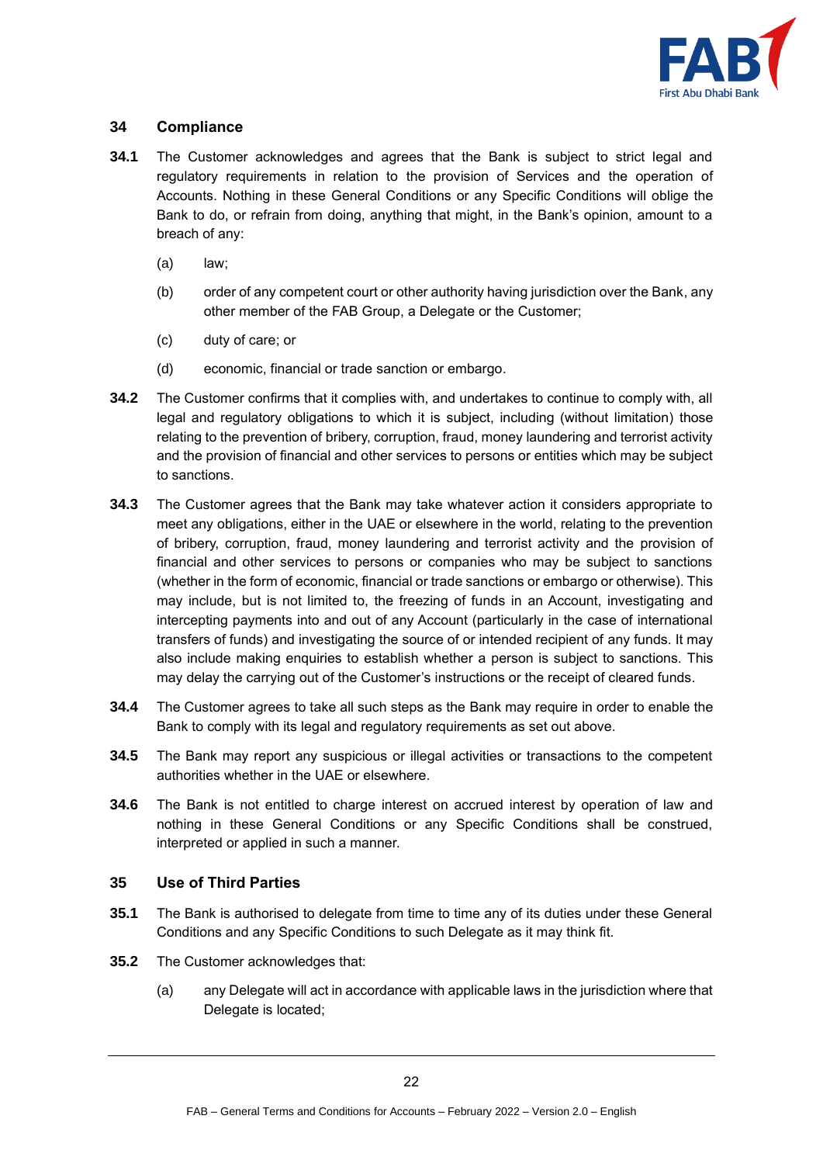

# **34 Compliance**

- **34.1** The Customer acknowledges and agrees that the Bank is subject to strict legal and regulatory requirements in relation to the provision of Services and the operation of Accounts. Nothing in these General Conditions or any Specific Conditions will oblige the Bank to do, or refrain from doing, anything that might, in the Bank's opinion, amount to a breach of any:
	- (a) law;
	- (b) order of any competent court or other authority having jurisdiction over the Bank, any other member of the FAB Group, a Delegate or the Customer;
	- (c) duty of care; or
	- (d) economic, financial or trade sanction or embargo.
- **34.2** The Customer confirms that it complies with, and undertakes to continue to comply with, all legal and regulatory obligations to which it is subject, including (without limitation) those relating to the prevention of bribery, corruption, fraud, money laundering and terrorist activity and the provision of financial and other services to persons or entities which may be subject to sanctions.
- **34.3** The Customer agrees that the Bank may take whatever action it considers appropriate to meet any obligations, either in the UAE or elsewhere in the world, relating to the prevention of bribery, corruption, fraud, money laundering and terrorist activity and the provision of financial and other services to persons or companies who may be subject to sanctions (whether in the form of economic, financial or trade sanctions or embargo or otherwise). This may include, but is not limited to, the freezing of funds in an Account, investigating and intercepting payments into and out of any Account (particularly in the case of international transfers of funds) and investigating the source of or intended recipient of any funds. It may also include making enquiries to establish whether a person is subject to sanctions. This may delay the carrying out of the Customer's instructions or the receipt of cleared funds.
- **34.4** The Customer agrees to take all such steps as the Bank may require in order to enable the Bank to comply with its legal and regulatory requirements as set out above.
- **34.5** The Bank may report any suspicious or illegal activities or transactions to the competent authorities whether in the UAE or elsewhere.
- **34.6** The Bank is not entitled to charge interest on accrued interest by operation of law and nothing in these General Conditions or any Specific Conditions shall be construed, interpreted or applied in such a manner.

# **35 Use of Third Parties**

- **35.1** The Bank is authorised to delegate from time to time any of its duties under these General Conditions and any Specific Conditions to such Delegate as it may think fit.
- **35.2** The Customer acknowledges that:
	- (a) any Delegate will act in accordance with applicable laws in the jurisdiction where that Delegate is located;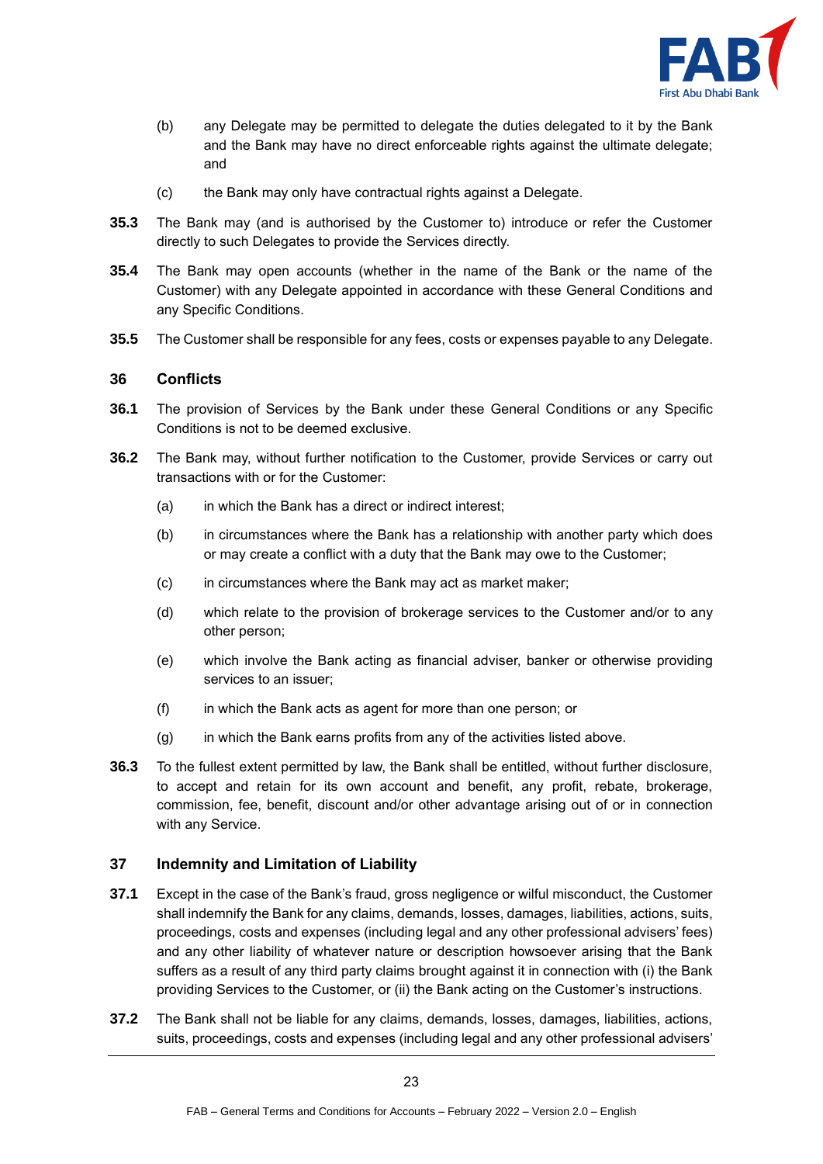

- (b) any Delegate may be permitted to delegate the duties delegated to it by the Bank and the Bank may have no direct enforceable rights against the ultimate delegate; and
- (c) the Bank may only have contractual rights against a Delegate.
- **35.3** The Bank may (and is authorised by the Customer to) introduce or refer the Customer directly to such Delegates to provide the Services directly.
- **35.4** The Bank may open accounts (whether in the name of the Bank or the name of the Customer) with any Delegate appointed in accordance with these General Conditions and any Specific Conditions.
- **35.5** The Customer shall be responsible for any fees, costs or expenses payable to any Delegate.

#### **36 Conflicts**

- **36.1** The provision of Services by the Bank under these General Conditions or any Specific Conditions is not to be deemed exclusive.
- **36.2** The Bank may, without further notification to the Customer, provide Services or carry out transactions with or for the Customer:
	- (a) in which the Bank has a direct or indirect interest;
	- (b) in circumstances where the Bank has a relationship with another party which does or may create a conflict with a duty that the Bank may owe to the Customer;
	- (c) in circumstances where the Bank may act as market maker;
	- (d) which relate to the provision of brokerage services to the Customer and/or to any other person;
	- (e) which involve the Bank acting as financial adviser, banker or otherwise providing services to an issuer;
	- (f) in which the Bank acts as agent for more than one person; or
	- (g) in which the Bank earns profits from any of the activities listed above.
- **36.3** To the fullest extent permitted by law, the Bank shall be entitled, without further disclosure, to accept and retain for its own account and benefit, any profit, rebate, brokerage, commission, fee, benefit, discount and/or other advantage arising out of or in connection with any Service.

# <span id="page-22-0"></span>**37 Indemnity and Limitation of Liability**

- **37.1** Except in the case of the Bank's fraud, gross negligence or wilful misconduct, the Customer shall indemnify the Bank for any claims, demands, losses, damages, liabilities, actions, suits, proceedings, costs and expenses (including legal and any other professional advisers' fees) and any other liability of whatever nature or description howsoever arising that the Bank suffers as a result of any third party claims brought against it in connection with (i) the Bank providing Services to the Customer, or (ii) the Bank acting on the Customer's instructions.
- **37.2** The Bank shall not be liable for any claims, demands, losses, damages, liabilities, actions, suits, proceedings, costs and expenses (including legal and any other professional advisers'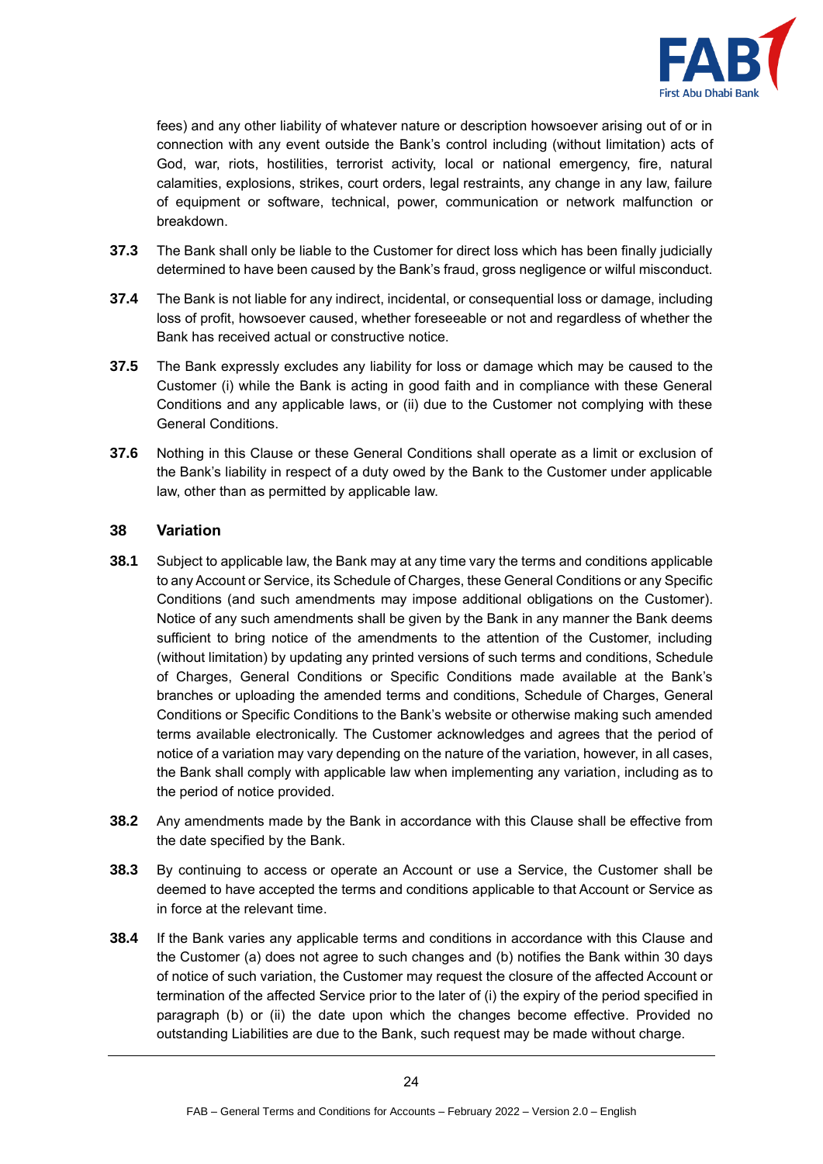

fees) and any other liability of whatever nature or description howsoever arising out of or in connection with any event outside the Bank's control including (without limitation) acts of God, war, riots, hostilities, terrorist activity, local or national emergency, fire, natural calamities, explosions, strikes, court orders, legal restraints, any change in any law, failure of equipment or software, technical, power, communication or network malfunction or breakdown.

- **37.3** The Bank shall only be liable to the Customer for direct loss which has been finally judicially determined to have been caused by the Bank's fraud, gross negligence or wilful misconduct.
- **37.4** The Bank is not liable for any indirect, incidental, or consequential loss or damage, including loss of profit, howsoever caused, whether foreseeable or not and regardless of whether the Bank has received actual or constructive notice.
- **37.5** The Bank expressly excludes any liability for loss or damage which may be caused to the Customer (i) while the Bank is acting in good faith and in compliance with these General Conditions and any applicable laws, or (ii) due to the Customer not complying with these General Conditions.
- **37.6** Nothing in this Clause or these General Conditions shall operate as a limit or exclusion of the Bank's liability in respect of a duty owed by the Bank to the Customer under applicable law, other than as permitted by applicable law.

# **38 Variation**

- **38.1** Subject to applicable law, the Bank may at any time vary the terms and conditions applicable to any Account or Service, its Schedule of Charges, these General Conditions or any Specific Conditions (and such amendments may impose additional obligations on the Customer). Notice of any such amendments shall be given by the Bank in any manner the Bank deems sufficient to bring notice of the amendments to the attention of the Customer, including (without limitation) by updating any printed versions of such terms and conditions, Schedule of Charges, General Conditions or Specific Conditions made available at the Bank's branches or uploading the amended terms and conditions, Schedule of Charges, General Conditions or Specific Conditions to the Bank's website or otherwise making such amended terms available electronically. The Customer acknowledges and agrees that the period of notice of a variation may vary depending on the nature of the variation, however, in all cases, the Bank shall comply with applicable law when implementing any variation, including as to the period of notice provided.
- **38.2** Any amendments made by the Bank in accordance with this Clause shall be effective from the date specified by the Bank.
- **38.3** By continuing to access or operate an Account or use a Service, the Customer shall be deemed to have accepted the terms and conditions applicable to that Account or Service as in force at the relevant time.
- **38.4** If the Bank varies any applicable terms and conditions in accordance with this Clause and the Customer (a) does not agree to such changes and (b) notifies the Bank within 30 days of notice of such variation, the Customer may request the closure of the affected Account or termination of the affected Service prior to the later of (i) the expiry of the period specified in paragraph (b) or (ii) the date upon which the changes become effective. Provided no outstanding Liabilities are due to the Bank, such request may be made without charge.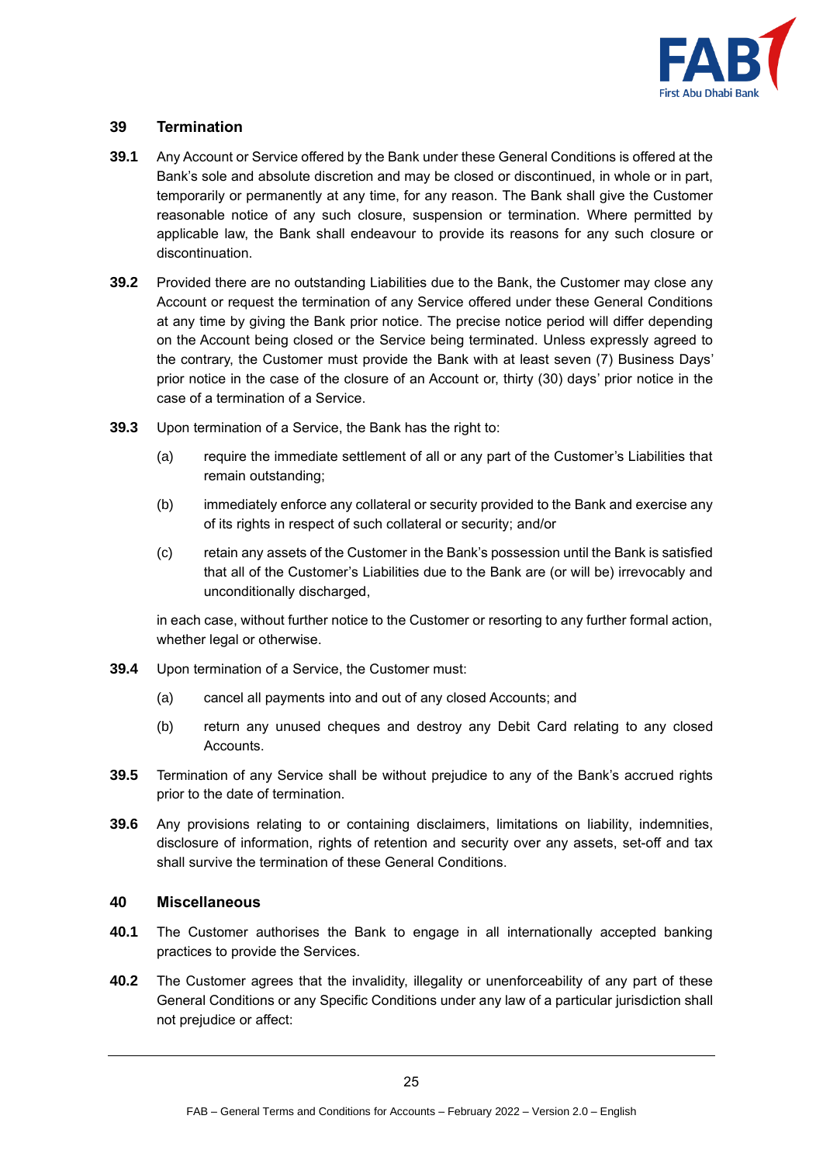

# **39 Termination**

- **39.1** Any Account or Service offered by the Bank under these General Conditions is offered at the Bank's sole and absolute discretion and may be closed or discontinued, in whole or in part, temporarily or permanently at any time, for any reason. The Bank shall give the Customer reasonable notice of any such closure, suspension or termination. Where permitted by applicable law, the Bank shall endeavour to provide its reasons for any such closure or discontinuation.
- **39.2** Provided there are no outstanding Liabilities due to the Bank, the Customer may close any Account or request the termination of any Service offered under these General Conditions at any time by giving the Bank prior notice. The precise notice period will differ depending on the Account being closed or the Service being terminated. Unless expressly agreed to the contrary, the Customer must provide the Bank with at least seven (7) Business Days' prior notice in the case of the closure of an Account or, thirty (30) days' prior notice in the case of a termination of a Service.
- **39.3** Upon termination of a Service, the Bank has the right to:
	- (a) require the immediate settlement of all or any part of the Customer's Liabilities that remain outstanding;
	- (b) immediately enforce any collateral or security provided to the Bank and exercise any of its rights in respect of such collateral or security; and/or
	- (c) retain any assets of the Customer in the Bank's possession until the Bank is satisfied that all of the Customer's Liabilities due to the Bank are (or will be) irrevocably and unconditionally discharged,

in each case, without further notice to the Customer or resorting to any further formal action, whether legal or otherwise.

- **39.4** Upon termination of a Service, the Customer must:
	- (a) cancel all payments into and out of any closed Accounts; and
	- (b) return any unused cheques and destroy any Debit Card relating to any closed Accounts.
- **39.5** Termination of any Service shall be without prejudice to any of the Bank's accrued rights prior to the date of termination.
- **39.6** Any provisions relating to or containing disclaimers, limitations on liability, indemnities, disclosure of information, rights of retention and security over any assets, set-off and tax shall survive the termination of these General Conditions.

#### **40 Miscellaneous**

- **40.1** The Customer authorises the Bank to engage in all internationally accepted banking practices to provide the Services.
- **40.2** The Customer agrees that the invalidity, illegality or unenforceability of any part of these General Conditions or any Specific Conditions under any law of a particular jurisdiction shall not prejudice or affect: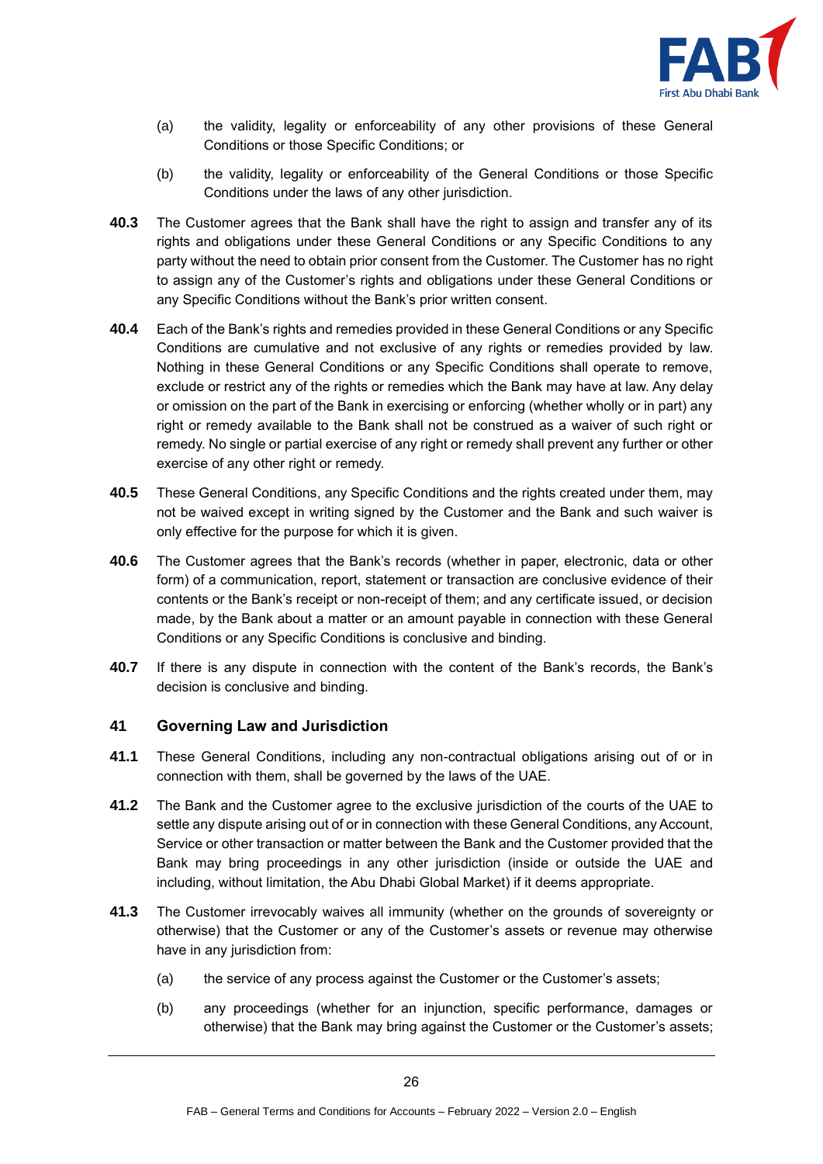

- (a) the validity, legality or enforceability of any other provisions of these General Conditions or those Specific Conditions; or
- (b) the validity, legality or enforceability of the General Conditions or those Specific Conditions under the laws of any other jurisdiction.
- **40.3** The Customer agrees that the Bank shall have the right to assign and transfer any of its rights and obligations under these General Conditions or any Specific Conditions to any party without the need to obtain prior consent from the Customer. The Customer has no right to assign any of the Customer's rights and obligations under these General Conditions or any Specific Conditions without the Bank's prior written consent.
- **40.4** Each of the Bank's rights and remedies provided in these General Conditions or any Specific Conditions are cumulative and not exclusive of any rights or remedies provided by law. Nothing in these General Conditions or any Specific Conditions shall operate to remove, exclude or restrict any of the rights or remedies which the Bank may have at law. Any delay or omission on the part of the Bank in exercising or enforcing (whether wholly or in part) any right or remedy available to the Bank shall not be construed as a waiver of such right or remedy. No single or partial exercise of any right or remedy shall prevent any further or other exercise of any other right or remedy.
- **40.5** These General Conditions, any Specific Conditions and the rights created under them, may not be waived except in writing signed by the Customer and the Bank and such waiver is only effective for the purpose for which it is given.
- **40.6** The Customer agrees that the Bank's records (whether in paper, electronic, data or other form) of a communication, report, statement or transaction are conclusive evidence of their contents or the Bank's receipt or non-receipt of them; and any certificate issued, or decision made, by the Bank about a matter or an amount payable in connection with these General Conditions or any Specific Conditions is conclusive and binding.
- **40.7** If there is any dispute in connection with the content of the Bank's records, the Bank's decision is conclusive and binding.

#### **41 Governing Law and Jurisdiction**

- **41.1** These General Conditions, including any non-contractual obligations arising out of or in connection with them, shall be governed by the laws of the UAE.
- **41.2** The Bank and the Customer agree to the exclusive jurisdiction of the courts of the UAE to settle any dispute arising out of or in connection with these General Conditions, any Account, Service or other transaction or matter between the Bank and the Customer provided that the Bank may bring proceedings in any other jurisdiction (inside or outside the UAE and including, without limitation, the Abu Dhabi Global Market) if it deems appropriate.
- **41.3** The Customer irrevocably waives all immunity (whether on the grounds of sovereignty or otherwise) that the Customer or any of the Customer's assets or revenue may otherwise have in any jurisdiction from:
	- (a) the service of any process against the Customer or the Customer's assets;
	- (b) any proceedings (whether for an injunction, specific performance, damages or otherwise) that the Bank may bring against the Customer or the Customer's assets;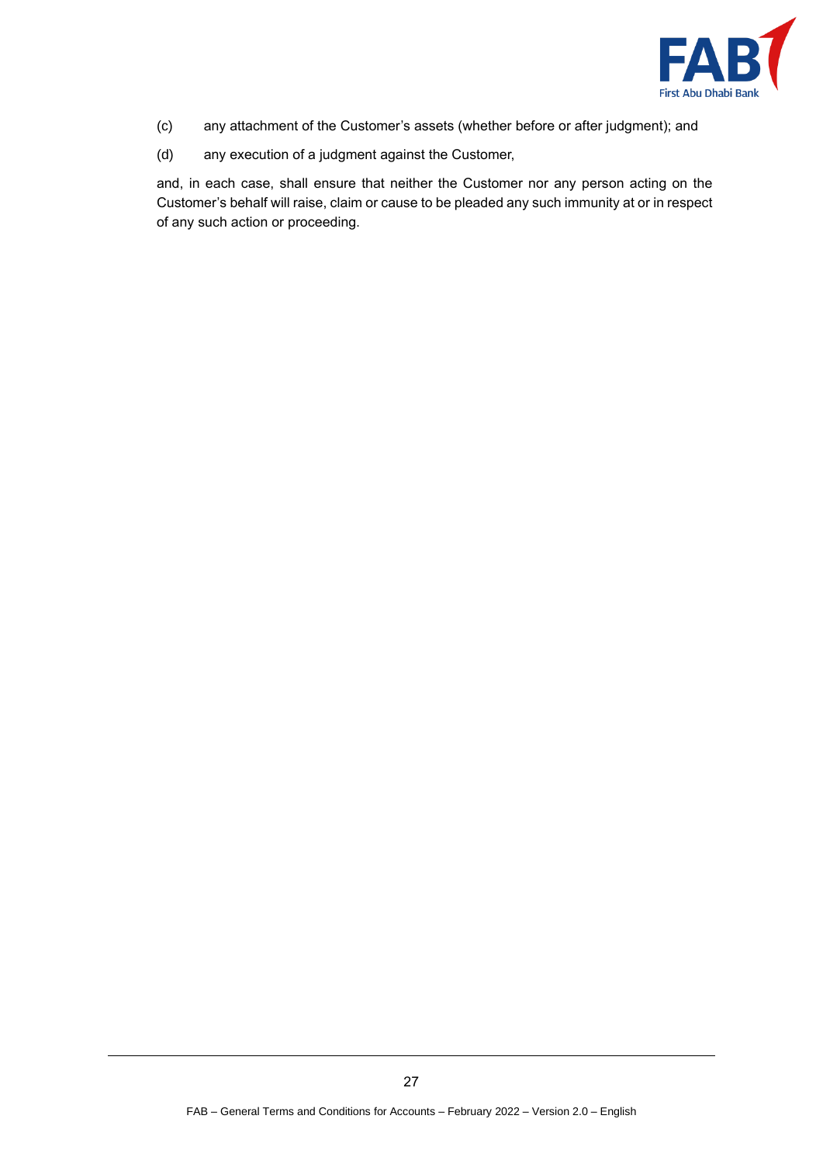

- (c) any attachment of the Customer's assets (whether before or after judgment); and
- (d) any execution of a judgment against the Customer,

and, in each case, shall ensure that neither the Customer nor any person acting on the Customer's behalf will raise, claim or cause to be pleaded any such immunity at or in respect of any such action or proceeding.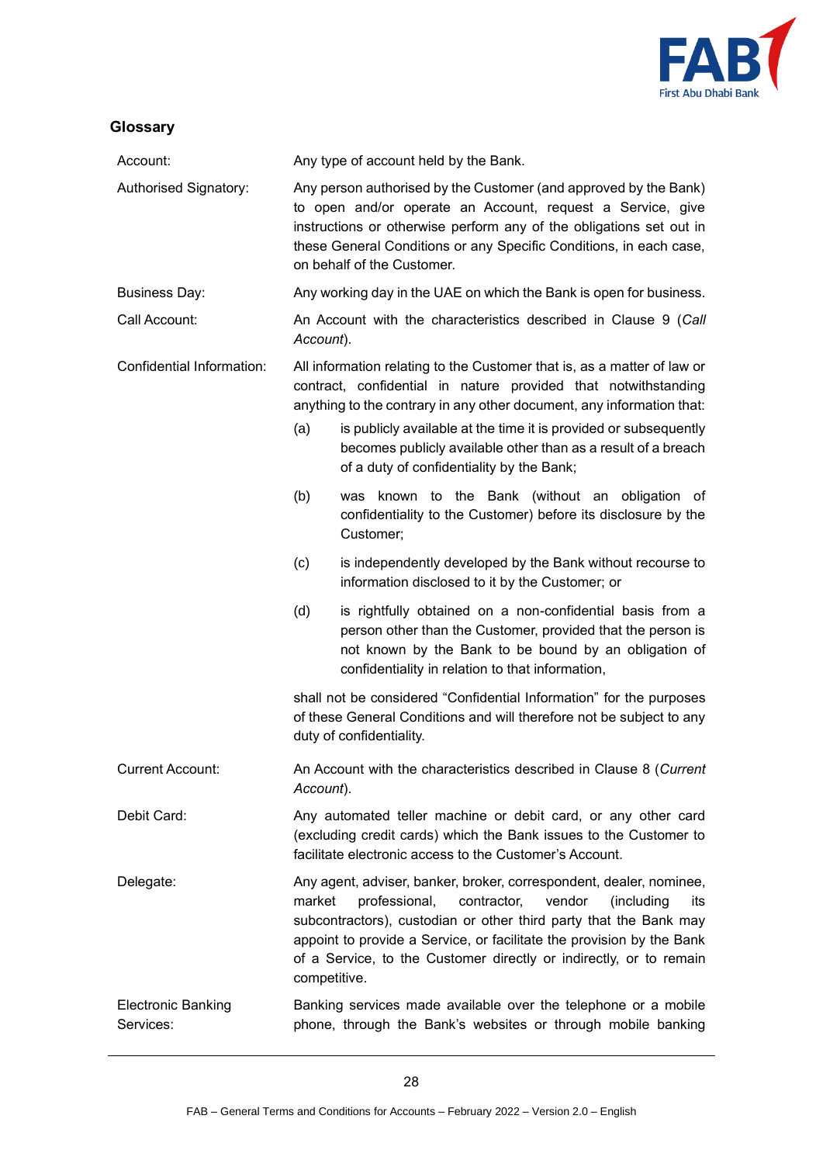

# **Glossary**

| Account:                               | Any type of account held by the Bank.                                                                                                                                                                                                                                                                                                                                            |                                                                                                                                                                                                                                                                                                                                                                                                      |
|----------------------------------------|----------------------------------------------------------------------------------------------------------------------------------------------------------------------------------------------------------------------------------------------------------------------------------------------------------------------------------------------------------------------------------|------------------------------------------------------------------------------------------------------------------------------------------------------------------------------------------------------------------------------------------------------------------------------------------------------------------------------------------------------------------------------------------------------|
| Authorised Signatory:                  | Any person authorised by the Customer (and approved by the Bank)<br>to open and/or operate an Account, request a Service, give<br>instructions or otherwise perform any of the obligations set out in<br>these General Conditions or any Specific Conditions, in each case,<br>on behalf of the Customer.                                                                        |                                                                                                                                                                                                                                                                                                                                                                                                      |
| <b>Business Day:</b>                   | Any working day in the UAE on which the Bank is open for business.                                                                                                                                                                                                                                                                                                               |                                                                                                                                                                                                                                                                                                                                                                                                      |
| Call Account:                          | An Account with the characteristics described in Clause 9 (Call<br>Account).                                                                                                                                                                                                                                                                                                     |                                                                                                                                                                                                                                                                                                                                                                                                      |
| Confidential Information:              | (a)                                                                                                                                                                                                                                                                                                                                                                              | All information relating to the Customer that is, as a matter of law or<br>contract, confidential in nature provided that notwithstanding<br>anything to the contrary in any other document, any information that:<br>is publicly available at the time it is provided or subsequently<br>becomes publicly available other than as a result of a breach<br>of a duty of confidentiality by the Bank; |
|                                        | (b)                                                                                                                                                                                                                                                                                                                                                                              | was known to the Bank (without an obligation of<br>confidentiality to the Customer) before its disclosure by the<br>Customer;                                                                                                                                                                                                                                                                        |
|                                        | (c)                                                                                                                                                                                                                                                                                                                                                                              | is independently developed by the Bank without recourse to<br>information disclosed to it by the Customer; or                                                                                                                                                                                                                                                                                        |
|                                        | (d)                                                                                                                                                                                                                                                                                                                                                                              | is rightfully obtained on a non-confidential basis from a<br>person other than the Customer, provided that the person is<br>not known by the Bank to be bound by an obligation of<br>confidentiality in relation to that information,                                                                                                                                                                |
|                                        | shall not be considered "Confidential Information" for the purposes<br>of these General Conditions and will therefore not be subject to any<br>duty of confidentiality.                                                                                                                                                                                                          |                                                                                                                                                                                                                                                                                                                                                                                                      |
| <b>Current Account:</b>                | An Account with the characteristics described in Clause 8 (Current<br>Account).                                                                                                                                                                                                                                                                                                  |                                                                                                                                                                                                                                                                                                                                                                                                      |
| Debit Card:                            | Any automated teller machine or debit card, or any other card<br>(excluding credit cards) which the Bank issues to the Customer to<br>facilitate electronic access to the Customer's Account.                                                                                                                                                                                    |                                                                                                                                                                                                                                                                                                                                                                                                      |
| Delegate:                              | Any agent, adviser, banker, broker, correspondent, dealer, nominee,<br>professional,<br>market<br>contractor,<br>vendor<br>(including<br>its<br>subcontractors), custodian or other third party that the Bank may<br>appoint to provide a Service, or facilitate the provision by the Bank<br>of a Service, to the Customer directly or indirectly, or to remain<br>competitive. |                                                                                                                                                                                                                                                                                                                                                                                                      |
| <b>Electronic Banking</b><br>Services: | Banking services made available over the telephone or a mobile<br>phone, through the Bank's websites or through mobile banking                                                                                                                                                                                                                                                   |                                                                                                                                                                                                                                                                                                                                                                                                      |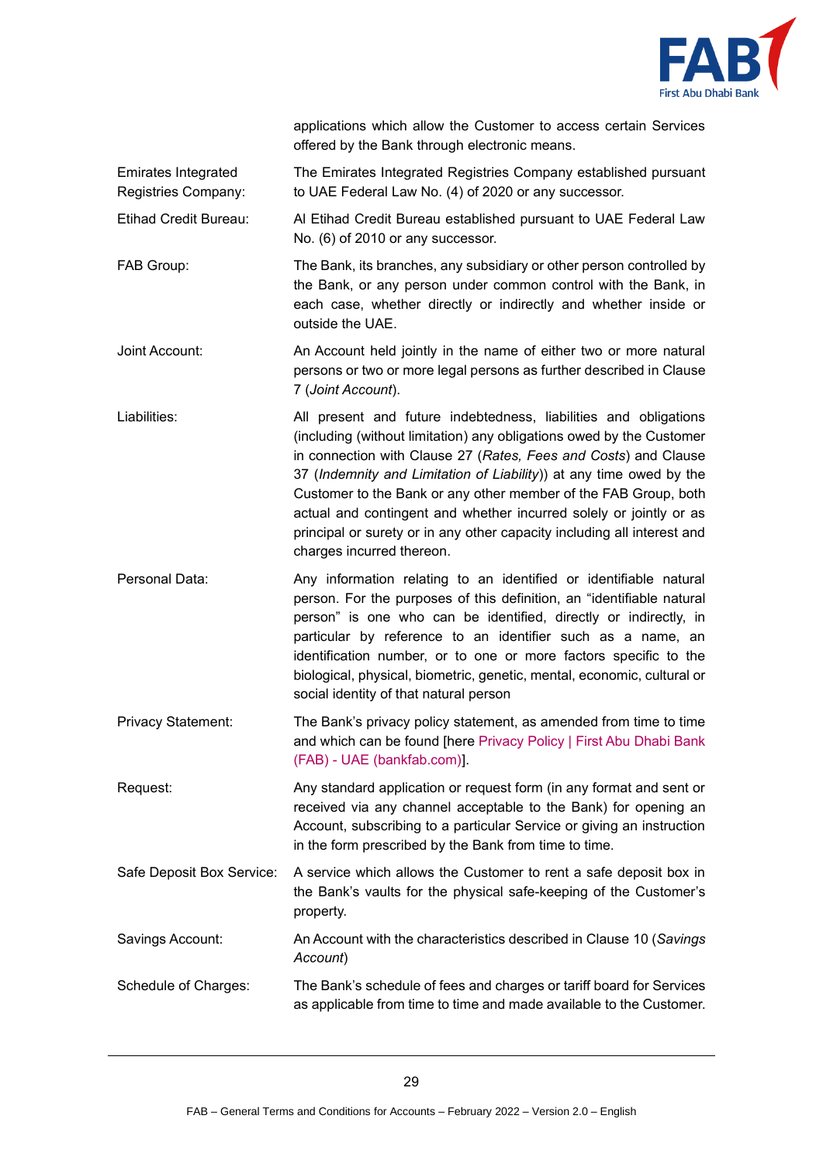

applications which allow the Customer to access certain Services offered by the Bank through electronic means.

Emirates Integrated Registries Company: The Emirates Integrated Registries Company established pursuant to UAE Federal Law No. (4) of 2020 or any successor.

Etihad Credit Bureau: Al Etihad Credit Bureau established pursuant to UAE Federal Law No. (6) of 2010 or any successor.

FAB Group: The Bank, its branches, any subsidiary or other person controlled by the Bank, or any person under common control with the Bank, in each case, whether directly or indirectly and whether inside or outside the UAE.

Joint Account: An Account held jointly in the name of either two or more natural persons or two or more legal persons as further described in Clause [7](#page-3-0) (*Joint Account*).

Liabilities: All present and future indebtedness, liabilities and obligations (including (without limitation) any obligations owed by the Customer in connection with Clause [27](#page-15-0) (*Rates, Fees and Costs*) and Clause [37](#page-22-0) (*Indemnity and Limitation of Liability*)) at any time owed by the Customer to the Bank or any other member of the FAB Group, both actual and contingent and whether incurred solely or jointly or as principal or surety or in any other capacity including all interest and charges incurred thereon.

Personal Data: Any information relating to an identified or identifiable natural person. For the purposes of this definition, an "identifiable natural person" is one who can be identified, directly or indirectly, in particular by reference to an identifier such as a name, an identification number, or to one or more factors specific to the biological, physical, biometric, genetic, mental, economic, cultural or social identity of that natural person

Privacy Statement: The Bank's privacy policy statement, as amended from time to time and which can be found [here [Privacy Policy | First Abu Dhabi Bank](https://www.bankfab.com/en-ae/privacy-policy)  (FAB) - [UAE \(bankfab.com\)\]](https://www.bankfab.com/en-ae/privacy-policy).

Request: Any standard application or request form (in any format and sent or received via any channel acceptable to the Bank) for opening an Account, subscribing to a particular Service or giving an instruction in the form prescribed by the Bank from time to time.

Safe Deposit Box Service: A service which allows the Customer to rent a safe deposit box in the Bank's vaults for the physical safe-keeping of the Customer's property.

# Savings Account: An Account with the characteristics described in Clause [10](#page-4-2) (*Savings Account*)

Schedule of Charges: The Bank's schedule of fees and charges or tariff board for Services as applicable from time to time and made available to the Customer.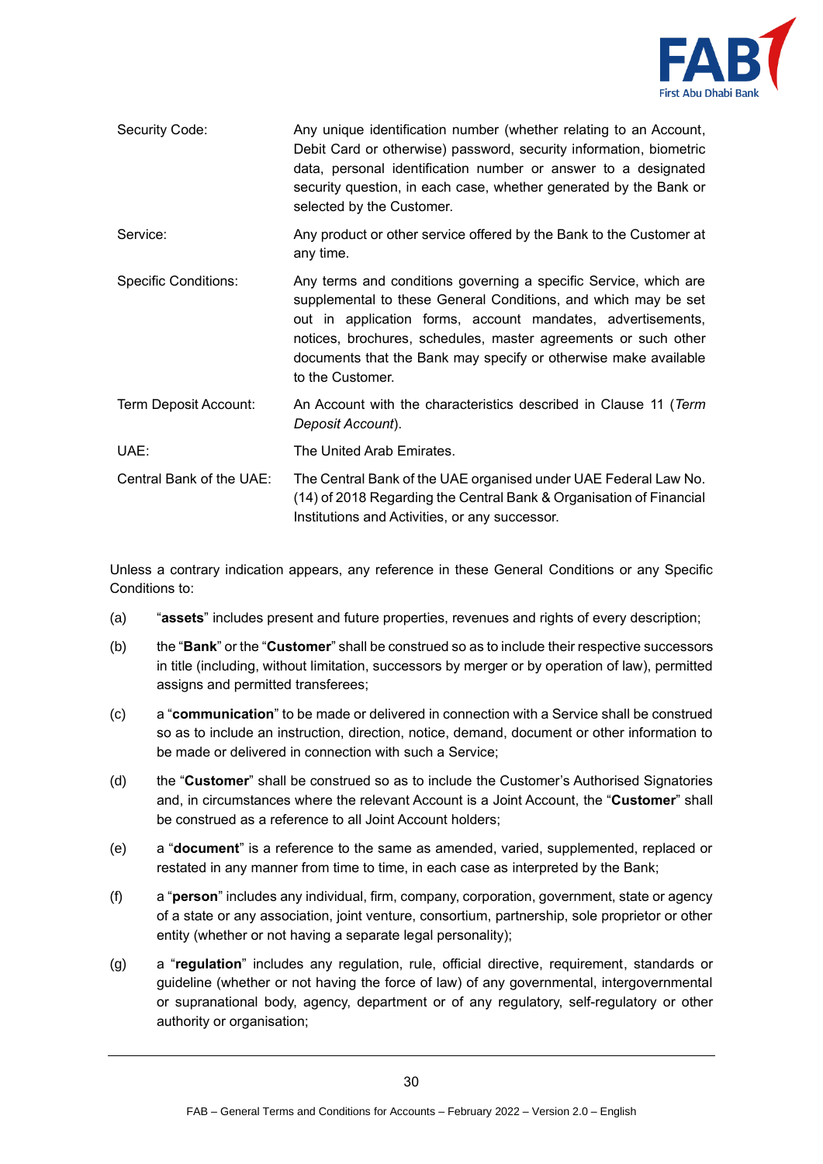

| Security Code:              | Any unique identification number (whether relating to an Account,<br>Debit Card or otherwise) password, security information, biometric<br>data, personal identification number or answer to a designated<br>security question, in each case, whether generated by the Bank or<br>selected by the Customer.                                                |  |
|-----------------------------|------------------------------------------------------------------------------------------------------------------------------------------------------------------------------------------------------------------------------------------------------------------------------------------------------------------------------------------------------------|--|
| Service:                    | Any product or other service offered by the Bank to the Customer at<br>any time.                                                                                                                                                                                                                                                                           |  |
| <b>Specific Conditions:</b> | Any terms and conditions governing a specific Service, which are<br>supplemental to these General Conditions, and which may be set<br>out in application forms, account mandates, advertisements,<br>notices, brochures, schedules, master agreements or such other<br>documents that the Bank may specify or otherwise make available<br>to the Customer. |  |
| Term Deposit Account:       | An Account with the characteristics described in Clause 11 (Term<br>Deposit Account).                                                                                                                                                                                                                                                                      |  |
| UAE:                        | The United Arab Emirates.                                                                                                                                                                                                                                                                                                                                  |  |
| Central Bank of the UAE:    | The Central Bank of the UAE organised under UAE Federal Law No.<br>(14) of 2018 Regarding the Central Bank & Organisation of Financial<br>Institutions and Activities, or any successor.                                                                                                                                                                   |  |

Unless a contrary indication appears, any reference in these General Conditions or any Specific Conditions to:

- (a) "**assets**" includes present and future properties, revenues and rights of every description;
- (b) the "**Bank**" or the "**Customer**" shall be construed so as to include their respective successors in title (including, without limitation, successors by merger or by operation of law), permitted assigns and permitted transferees;
- (c) a "**communication**" to be made or delivered in connection with a Service shall be construed so as to include an instruction, direction, notice, demand, document or other information to be made or delivered in connection with such a Service;
- (d) the "**Customer**" shall be construed so as to include the Customer's Authorised Signatories and, in circumstances where the relevant Account is a Joint Account, the "**Customer**" shall be construed as a reference to all Joint Account holders;
- (e) a "**document**" is a reference to the same as amended, varied, supplemented, replaced or restated in any manner from time to time, in each case as interpreted by the Bank;
- (f) a "**person**" includes any individual, firm, company, corporation, government, state or agency of a state or any association, joint venture, consortium, partnership, sole proprietor or other entity (whether or not having a separate legal personality);
- (g) a "**regulation**" includes any regulation, rule, official directive, requirement, standards or guideline (whether or not having the force of law) of any governmental, intergovernmental or supranational body, agency, department or of any regulatory, self-regulatory or other authority or organisation;